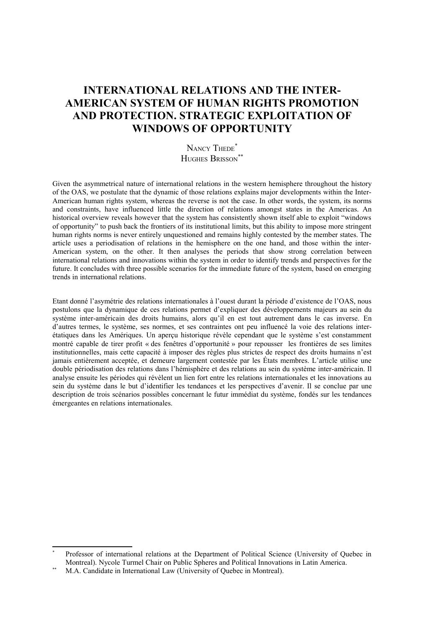# **INTERNATIONAL RELATIONS AND THE INTER-AMERICAN SYSTEM OF HUMAN RIGHTS PROMOTION AND PROTECTION. STRATEGIC EXPLOITATION OF WINDOWS OF OPPORTUNITY**

NANCY THEDE<sup>[\\*](#page-0-0)</sup> HUGHES BRISSON<sup>\*</sup>

Given the asymmetrical nature of international relations in the western hemisphere throughout the history of the OAS, we postulate that the dynamic of those relations explains major developments within the Inter-American human rights system, whereas the reverse is not the case. In other words, the system, its norms and constraints, have influenced little the direction of relations amongst states in the Americas. An historical overview reveals however that the system has consistently shown itself able to exploit "windows of opportunity" to push back the frontiers of its institutional limits, but this ability to impose more stringent human rights norms is never entirely unquestioned and remains highly contested by the member states. The article uses a periodisation of relations in the hemisphere on the one hand, and those within the inter-American system, on the other. It then analyses the periods that show strong correlation between international relations and innovations within the system in order to identify trends and perspectives for the future. It concludes with three possible scenarios for the immediate future of the system, based on emerging trends in international relations.

Etant donné l'asymétrie des relations internationales à l'ouest durant la période d'existence de l'OAS, nous postulons que la dynamique de ces relations permet d'expliquer des développements majeurs au sein du système inter-américain des droits humains, alors qu'il en est tout autrement dans le cas inverse. En d'autres termes, le système, ses normes, et ses contraintes ont peu influencé la voie des relations interétatiques dans les Amériques. Un aperçu historique révèle cependant que le système s'est constamment montré capable de tirer profit « des fenêtres d'opportunité » pour repousser les frontières de ses limites institutionnelles, mais cette capacité à imposer des règles plus strictes de respect des droits humains n'est jamais entièrement acceptée, et demeure largement contestée par les États membres. L'article utilise une double périodisation des relations dans l'hémisphère et des relations au sein du système inter-américain. Il analyse ensuite les périodes qui révèlent un lien fort entre les relations internationales et les innovations au sein du système dans le but d'identifier les tendances et les perspectives d'avenir. Il se conclue par une description de trois scénarios possibles concernant le futur immédiat du système, fondés sur les tendances émergeantes en relations internationales.

<span id="page-0-0"></span><sup>\*</sup> Professor of international relations at the Department of Political Science (University of Quebec in Montreal). Nycole Turmel Chair on Public Spheres and Political Innovations in Latin America.

<span id="page-0-1"></span>M.A. Candidate in International Law (University of Quebec in Montreal).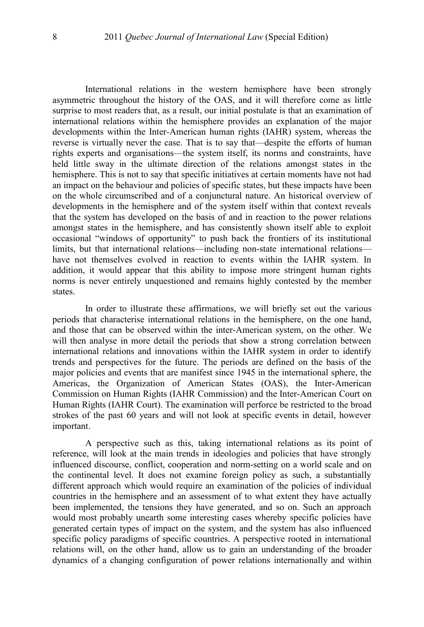International relations in the western hemisphere have been strongly asymmetric throughout the history of the OAS, and it will therefore come as little surprise to most readers that, as a result, our initial postulate is that an examination of international relations within the hemisphere provides an explanation of the major developments within the Inter-American human rights (IAHR) system, whereas the reverse is virtually never the case. That is to say that—despite the efforts of human rights experts and organisations—the system itself, its norms and constraints, have held little sway in the ultimate direction of the relations amongst states in the hemisphere. This is not to say that specific initiatives at certain moments have not had an impact on the behaviour and policies of specific states, but these impacts have been on the whole circumscribed and of a conjunctural nature. An historical overview of developments in the hemisphere and of the system itself within that context reveals that the system has developed on the basis of and in reaction to the power relations amongst states in the hemisphere, and has consistently shown itself able to exploit occasional "windows of opportunity" to push back the frontiers of its institutional limits, but that international relations—including non-state international relations have not themselves evolved in reaction to events within the IAHR system. In addition, it would appear that this ability to impose more stringent human rights norms is never entirely unquestioned and remains highly contested by the member states.

In order to illustrate these affirmations, we will briefly set out the various periods that characterise international relations in the hemisphere, on the one hand, and those that can be observed within the inter-American system, on the other. We will then analyse in more detail the periods that show a strong correlation between international relations and innovations within the IAHR system in order to identify trends and perspectives for the future. The periods are defined on the basis of the major policies and events that are manifest since 1945 in the international sphere, the Americas, the Organization of American States (OAS), the Inter-American Commission on Human Rights (IAHR Commission) and the Inter-American Court on Human Rights (IAHR Court). The examination will perforce be restricted to the broad strokes of the past 60 years and will not look at specific events in detail, however important.

A perspective such as this, taking international relations as its point of reference, will look at the main trends in ideologies and policies that have strongly influenced discourse, conflict, cooperation and norm-setting on a world scale and on the continental level. It does not examine foreign policy as such, a substantially different approach which would require an examination of the policies of individual countries in the hemisphere and an assessment of to what extent they have actually been implemented, the tensions they have generated, and so on. Such an approach would most probably unearth some interesting cases whereby specific policies have generated certain types of impact on the system, and the system has also influenced specific policy paradigms of specific countries. A perspective rooted in international relations will, on the other hand, allow us to gain an understanding of the broader dynamics of a changing configuration of power relations internationally and within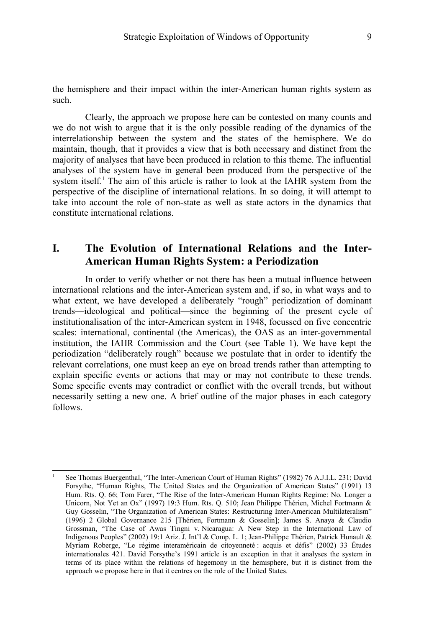the hemisphere and their impact within the inter-American human rights system as such.

Clearly, the approach we propose here can be contested on many counts and we do not wish to argue that it is the only possible reading of the dynamics of the interrelationship between the system and the states of the hemisphere. We do maintain, though, that it provides a view that is both necessary and distinct from the majority of analyses that have been produced in relation to this theme. The influential analyses of the system have in general been produced from the perspective of the system itself.<sup>[1](#page-2-0)</sup> The aim of this article is rather to look at the IAHR system from the perspective of the discipline of international relations. In so doing, it will attempt to take into account the role of non-state as well as state actors in the dynamics that constitute international relations.

# **I. The Evolution of International Relations and the Inter-American Human Rights System: a Periodization**

In order to verify whether or not there has been a mutual influence between international relations and the inter-American system and, if so, in what ways and to what extent, we have developed a deliberately "rough" periodization of dominant trends—ideological and political—since the beginning of the present cycle of institutionalisation of the inter-American system in 1948, focussed on five concentric scales: international, continental (the Americas), the OAS as an inter-governmental institution, the IAHR Commission and the Court (see Table 1). We have kept the periodization "deliberately rough" because we postulate that in order to identify the relevant correlations, one must keep an eye on broad trends rather than attempting to explain specific events or actions that may or may not contribute to these trends. Some specific events may contradict or conflict with the overall trends, but without necessarily setting a new one. A brief outline of the major phases in each category follows.

<span id="page-2-0"></span><sup>1</sup> See Thomas Buergenthal, "The Inter-American Court of Human Rights" (1982) 76 A.J.I.L. 231; David Forsythe, "Human Rights, The United States and the Organization of American States" (1991) 13 Hum. Rts. Q. 66; Tom Farer, "The Rise of the Inter-American Human Rights Regime: No. Longer a Unicorn, Not Yet an Ox" (1997) 19:3 Hum. Rts. Q. 510; Jean Philippe Thérien, Michel Fortmann & Guy Gosselin, "The Organization of American States: Restructuring Inter-American Multilateralism" (1996) 2 Global Governance 215 [Thérien, Fortmann & Gosselin]; James S. Anaya & Claudio Grossman, "The Case of Awas Tingni v. Nicaragua: A New Step in the International Law of Indigenous Peoples" (2002) 19:1 Ariz. J. Int'l & Comp. L. 1; Jean-Philippe Thérien, Patrick Hunault & Myriam Roberge, "Le régime interaméricain de citoyenneté : acquis et défis" (2002) 33 Études internationales 421. David Forsythe's 1991 article is an exception in that it analyses the system in terms of its place within the relations of hegemony in the hemisphere, but it is distinct from the approach we propose here in that it centres on the role of the United States.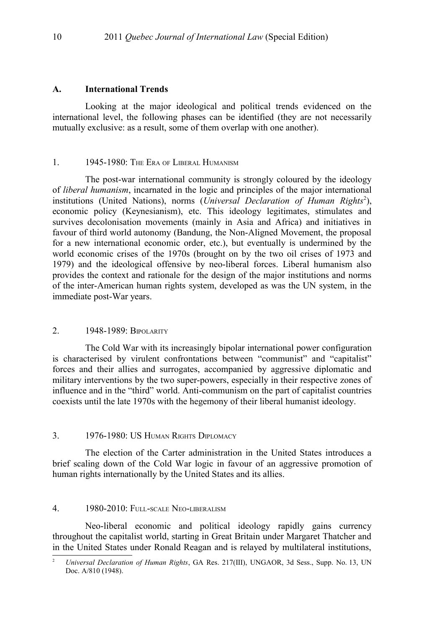#### **A. International Trends**

Looking at the major ideological and political trends evidenced on the international level, the following phases can be identified (they are not necessarily mutually exclusive: as a result, some of them overlap with one another).

#### 1. 1945-1980: The Era of Liberal Humanism

The post-war international community is strongly coloured by the ideology of *liberal humanism*, incarnated in the logic and principles of the major international institutions (United Nations), norms (*Universal Declaration of Human Rights<sup>[2](#page-3-0)</sup>*), economic policy (Keynesianism), etc. This ideology legitimates, stimulates and survives decolonisation movements (mainly in Asia and Africa) and initiatives in favour of third world autonomy (Bandung, the Non-Aligned Movement, the proposal for a new international economic order, etc.), but eventually is undermined by the world economic crises of the 1970s (brought on by the two oil crises of 1973 and 1979) and the ideological offensive by neo-liberal forces. Liberal humanism also provides the context and rationale for the design of the major institutions and norms of the inter-American human rights system, developed as was the UN system, in the immediate post-War years.

### 2. 1948-1989: BIPOLARITY

The Cold War with its increasingly bipolar international power configuration is characterised by virulent confrontations between "communist" and "capitalist" forces and their allies and surrogates, accompanied by aggressive diplomatic and military interventions by the two super-powers, especially in their respective zones of influence and in the "third" world. Anti-communism on the part of capitalist countries coexists until the late 1970s with the hegemony of their liberal humanist ideology.

#### 3. 1976-1980: US HUMAN RIGHTS DIPLOMACY

The election of the Carter administration in the United States introduces a brief scaling down of the Cold War logic in favour of an aggressive promotion of human rights internationally by the United States and its allies.

#### 4. 1980-2010: FULL-SCALE NEO-LIBERALISM

Neo-liberal economic and political ideology rapidly gains currency throughout the capitalist world, starting in Great Britain under Margaret Thatcher and in the United States under Ronald Reagan and is relayed by multilateral institutions,

<span id="page-3-0"></span><sup>2</sup> *Universal Declaration of Human Rights*, GA Res. 217(III), UNGAOR, 3d Sess., Supp. No. 13, UN Doc. A/810 (1948).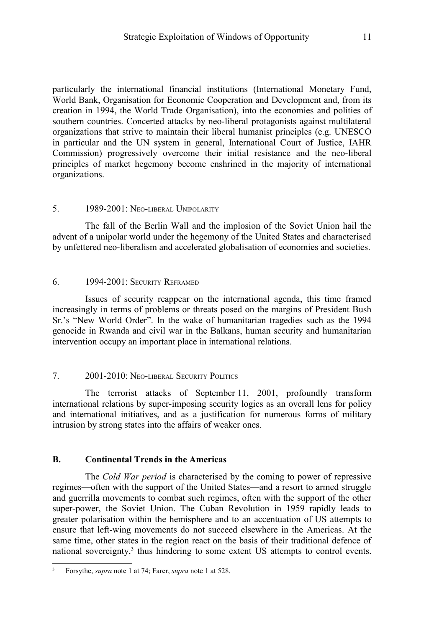particularly the international financial institutions (International Monetary Fund, World Bank, Organisation for Economic Cooperation and Development and, from its creation in 1994, the World Trade Organisation), into the economies and polities of southern countries. Concerted attacks by neo-liberal protagonists against multilateral organizations that strive to maintain their liberal humanist principles (e.g. UNESCO in particular and the UN system in general, International Court of Justice, IAHR Commission) progressively overcome their initial resistance and the neo-liberal principles of market hegemony become enshrined in the majority of international organizations.

#### 5. 1989-2001: NEO-LIBERAL UNIPOLARITY

The fall of the Berlin Wall and the implosion of the Soviet Union hail the advent of a unipolar world under the hegemony of the United States and characterised by unfettered neo-liberalism and accelerated globalisation of economies and societies.

#### 6. 1994-2001: SECURITY REFRAMED

Issues of security reappear on the international agenda, this time framed increasingly in terms of problems or threats posed on the margins of President Bush Sr.'s "New World Order". In the wake of humanitarian tragedies such as the 1994 genocide in Rwanda and civil war in the Balkans, human security and humanitarian intervention occupy an important place in international relations.

### 7. 2001-2010: NEO-LIBERAL SECURITY POLITICS

The terrorist attacks of September 11, 2001, profoundly transform international relations by super-imposing security logics as an overall lens for policy and international initiatives, and as a justification for numerous forms of military intrusion by strong states into the affairs of weaker ones.

### **B. Continental Trends in the Americas**

The *Cold War period* is characterised by the coming to power of repressive regimes—often with the support of the United States—and a resort to armed struggle and guerrilla movements to combat such regimes, often with the support of the other super-power, the Soviet Union. The Cuban Revolution in 1959 rapidly leads to greater polarisation within the hemisphere and to an accentuation of US attempts to ensure that left-wing movements do not succeed elsewhere in the Americas. At the same time, other states in the region react on the basis of their traditional defence of national sovereignty,<sup>[3](#page-4-0)</sup> thus hindering to some extent US attempts to control events.

<span id="page-4-0"></span><sup>3</sup> Forsythe, *supra* note [1](#page-2-0) at 74; Farer, *supra* note [1](#page-2-0) at 528.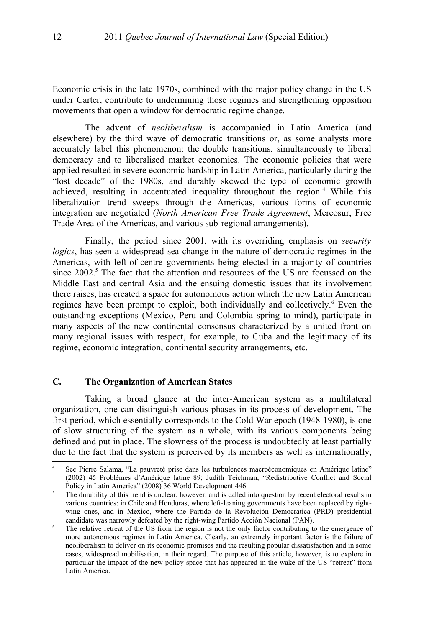Economic crisis in the late 1970s, combined with the major policy change in the US under Carter, contribute to undermining those regimes and strengthening opposition movements that open a window for democratic regime change.

The advent of *neoliberalism* is accompanied in Latin America (and elsewhere) by the third wave of democratic transitions or, as some analysts more accurately label this phenomenon: the double transitions, simultaneously to liberal democracy and to liberalised market economies. The economic policies that were applied resulted in severe economic hardship in Latin America, particularly during the "lost decade" of the 1980s, and durably skewed the type of economic growth achieved, resulting in accentuated inequality throughout the region.<sup>[4](#page-5-0)</sup> While this liberalization trend sweeps through the Americas, various forms of economic integration are negotiated (*North American Free Trade Agreement*, Mercosur, Free Trade Area of the Americas, and various sub-regional arrangements).

Finally, the period since 2001, with its overriding emphasis on *security logics*, has seen a widespread sea-change in the nature of democratic regimes in the Americas, with left-of-centre governments being elected in a majority of countries since 2002.<sup>[5](#page-5-1)</sup> The fact that the attention and resources of the US are focussed on the Middle East and central Asia and the ensuing domestic issues that its involvement there raises, has created a space for autonomous action which the new Latin American regimes have been prompt to exploit, both individually and collectively.<sup>[6](#page-5-2)</sup> Even the outstanding exceptions (Mexico, Peru and Colombia spring to mind), participate in many aspects of the new continental consensus characterized by a united front on many regional issues with respect, for example, to Cuba and the legitimacy of its regime, economic integration, continental security arrangements, etc.

### **C. The Organization of American States**

Taking a broad glance at the inter-American system as a multilateral organization, one can distinguish various phases in its process of development. The first period, which essentially corresponds to the Cold War epoch (1948-1980), is one of slow structuring of the system as a whole, with its various components being defined and put in place. The slowness of the process is undoubtedly at least partially due to the fact that the system is perceived by its members as well as internationally,

<span id="page-5-0"></span>See Pierre Salama, "La pauvreté prise dans les turbulences macroéconomiques en Amérique latine" (2002) 45 Problèmes d'Amérique latine 89; Judith Teichman, "Redistributive Conflict and Social Policy in Latin America" (2008) 36 World Development 446.

<span id="page-5-1"></span><sup>&</sup>lt;sup>5</sup> The durability of this trend is unclear, however, and is called into question by recent electoral results in various countries: in Chile and Honduras, where left-leaning governments have been replaced by rightwing ones, and in Mexico, where the Partido de la Revolución Democrática (PRD) presidential candidate was narrowly defeated by the right-wing Partido Acción Nacional (PAN).

<span id="page-5-2"></span><sup>&</sup>lt;sup>6</sup> The relative retreat of the US from the region is not the only factor contributing to the emergence of more autonomous regimes in Latin America. Clearly, an extremely important factor is the failure of neoliberalism to deliver on its economic promises and the resulting popular dissatisfaction and in some cases, widespread mobilisation, in their regard. The purpose of this article, however, is to explore in particular the impact of the new policy space that has appeared in the wake of the US "retreat" from Latin America.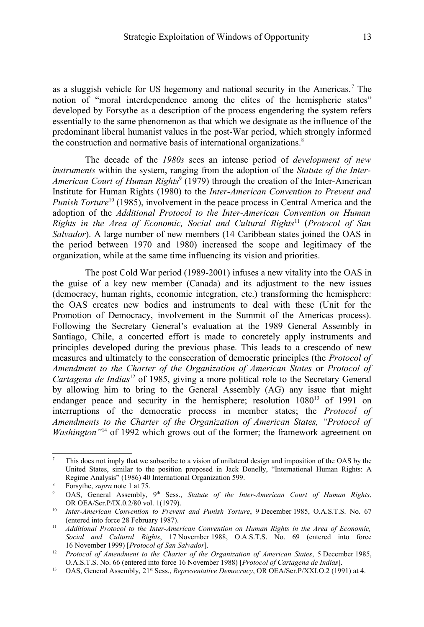as a sluggish vehicle for US hegemony and national security in the Americas.<sup>[7](#page-6-0)</sup> The notion of "moral interdependence among the elites of the hemispheric states" developed by Forsythe as a description of the process engendering the system refers essentially to the same phenomenon as that which we designate as the influence of the predominant liberal humanist values in the post-War period, which strongly informed the construction and normative basis of international organizations.<sup>[8](#page-6-1)</sup>

The decade of the *1980s* sees an intense period of *development of new instruments* within the system, ranging from the adoption of the *Statute of the Inter-*American Court of Human Rights<sup>[9](#page-6-2)</sup> (1979) through the creation of the Inter-American Institute for Human Rights (1980) to the *Inter-American Convention to Prevent and Punish Torture*<sup>[10](#page-6-3)</sup> (1985), involvement in the peace process in Central America and the adoption of the *Additional Protocol to the Inter-American Convention on Human Rights in the Area of Economic, Social and Cultural Rights*[11](#page-6-4) (*Protocol of San Salvador*). A large number of new members (14 Caribbean states joined the OAS in the period between 1970 and 1980) increased the scope and legitimacy of the organization, while at the same time influencing its vision and priorities.

The post Cold War period (1989-2001) infuses a new vitality into the OAS in the guise of a key new member (Canada) and its adjustment to the new issues (democracy, human rights, economic integration, etc.) transforming the hemisphere: the OAS creates new bodies and instruments to deal with these (Unit for the Promotion of Democracy, involvement in the Summit of the Americas process). Following the Secretary General's evaluation at the 1989 General Assembly in Santiago, Chile, a concerted effort is made to concretely apply instruments and principles developed during the previous phase. This leads to a crescendo of new measures and ultimately to the consecration of democratic principles (the *Protocol of Amendment to the Charter of the Organization of American States* or *Protocol of Cartagena de Indias*<sup>[12](#page-6-5)</sup> of 1985, giving a more political role to the Secretary General by allowing him to bring to the General Assembly (AG) any issue that might endanger peace and security in the hemisphere; resolution 1080<sup>[13](#page-6-6)</sup> of 1991 on interruptions of the democratic process in member states; the *Protocol of Amendments to the Charter of the Organization of American States, "Protocol of Washington*<sup>[14](#page-7-0)</sup> of 1992 which grows out of the former; the framework agreement on

<span id="page-6-0"></span><sup>7</sup> This does not imply that we subscribe to a vision of unilateral design and imposition of the OAS by the United States, similar to the position proposed in Jack Donelly, "International Human Rights: A Regime Analysis" (1986) 40 International Organization 599.

<span id="page-6-1"></span><sup>8</sup> Forsythe, *supra* note [1](#page-2-0) at 75.

<span id="page-6-2"></span>OAS, General Assembly, 9<sup>th</sup> Sess., *Statute of the Inter-American Court of Human Rights*, OR OEA/Ser.P/IX.0.2/80 vol. 1(1979).

<span id="page-6-3"></span><sup>&</sup>lt;sup>10</sup> *Inter-American Convention to Prevent and Punish Torture*, 9 December 1985, O.A.S.T.S. No. 67 (entered into force 28 February 1987).

<span id="page-6-4"></span><sup>11</sup> *Additional Protocol to the Inter-American Convention on Human Rights in the Area of Economic, Social and Cultural Rights*, 17 November 1988, O.A.S.T.S. No. 69 (entered into force 16 November 1999) [*Protocol of San Salvador*].

<span id="page-6-5"></span><sup>&</sup>lt;sup>12</sup> *Protocol of Amendment to the Charter of the Organization of American States*, 5 December 1985, O.A.S.T.S. No. 66 (entered into force 16 November 1988) [*Protocol of Cartagena de Indias*].

<span id="page-6-6"></span><sup>&</sup>lt;sup>13</sup> OAS, General Assembly, 21<sup>st</sup> Sess., *Representative Democracy*, OR OEA/Ser.P/XXI.O.2 (1991) at 4.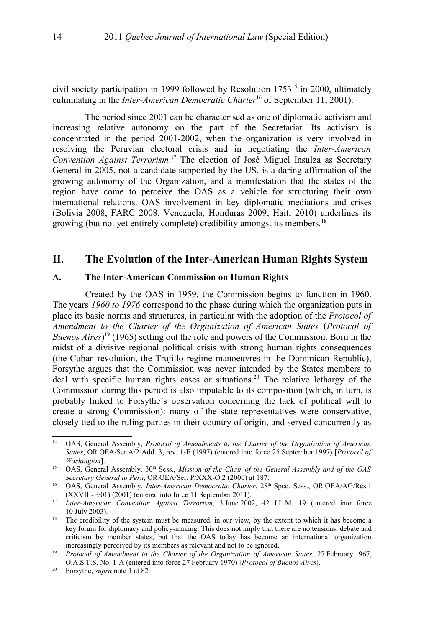civil society participation in 1999 followed by Resolution  $1753<sup>15</sup>$  $1753<sup>15</sup>$  $1753<sup>15</sup>$  in 2000, ultimately culminating in the *Inter-American Democratic Charter*[16](#page-7-2) of September 11, 2001).

The period since 2001 can be characterised as one of diplomatic activism and increasing relative autonomy on the part of the Secretariat. Its activism is concentrated in the period 2001-2002, when the organization is very involved in resolving the Peruvian electoral crisis and in negotiating the *Inter-American Convention Against Terrorism*. [17](#page-7-3) The election of José Miguel Insulza as Secretary General in 2005, not a candidate supported by the US, is a daring affirmation of the growing autonomy of the Organization, and a manifestation that the states of the region have come to perceive the OAS as a vehicle for structuring their own international relations. OAS involvement in key diplomatic mediations and crises (Bolivia 2008, FARC 2008, Venezuela, Honduras 2009, Haiti 2010) underlines its growing (but not yet entirely complete) credibility amongst its members.[18](#page-7-4)

## **II. The Evolution of the Inter-American Human Rights System**

#### **A. The Inter-American Commission on Human Rights**

Created by the OAS in 1959, the Commission begins to function in 1960. The years *1960 to 1976* correspond to the phase during which the organization puts in place its basic norms and structures, in particular with the adoption of the *Protocol of Amendment to the Charter of the Organization of American States* (*Protocol of Buenos Aires*) [19](#page-7-5) (1965) setting out the role and powers of the Commission. Born in the midst of a divisive regional political crisis with strong human rights consequences (the Cuban revolution, the Trujillo regime manoeuvres in the Dominican Republic), Forsythe argues that the Commission was never intended by the States members to deal with specific human rights cases or situations.<sup>[20](#page-7-6)</sup> The relative lethargy of the Commission during this period is also imputable to its composition (which, in turn, is probably linked to Forsythe's observation concerning the lack of political will to create a strong Commission): many of the state representatives were conservative, closely tied to the ruling parties in their country of origin, and served concurrently as

<span id="page-7-0"></span><sup>14</sup> OAS, General Assembly, *Protocol of Amendments to the Charter of the Organization of American States*, OR OEA/Ser.A/2 Add. 3, rev. 1-E (1997) (entered into force 25 September 1997) [*Protocol of Washington*].

<span id="page-7-1"></span><sup>&</sup>lt;sup>15</sup> OAS, General Assembly, 30<sup>th</sup> Sess., *Mission of the Chair of the General Assembly and of the OAS Secretary General to Peru*, OR OEA/Ser. P/XXX-O.2 (2000) at 187.

<span id="page-7-2"></span><sup>&</sup>lt;sup>16</sup> OAS, General Assembly, *Inter-American Democratic Charter*, 28<sup>th</sup> Spec. Sess., OR OEA/AG/Res.1 (XXVIII-E/01) (2001) (entered into force 11 September 2011).

<span id="page-7-3"></span><sup>&</sup>lt;sup>17</sup> *Inter-American Convention Against Terrorism*, 3 June 2002, 42 I.L.M. 19 (entered into force 10 July 2003).

<span id="page-7-4"></span><sup>&</sup>lt;sup>18</sup> The credibility of the system must be measured, in our view, by the extent to which it has become a key forum for diplomacy and policy-making. This does not imply that there are no tensions, debate and criticism by member states, but that the OAS today has become an international organization increasingly perceived by its members as relevant and not to be ignored.

<span id="page-7-5"></span><sup>&</sup>lt;sup>19</sup> Protocol of Amendment to the Charter of the Organization of American States, 27 February 1967, O.A.S.T.S. No. 1-A (entered into force 27 February 1970) [*Protocol of Buenos Aires*].

<span id="page-7-6"></span><sup>20</sup> Forsythe, *supra* note [1](#page-2-0) at 82.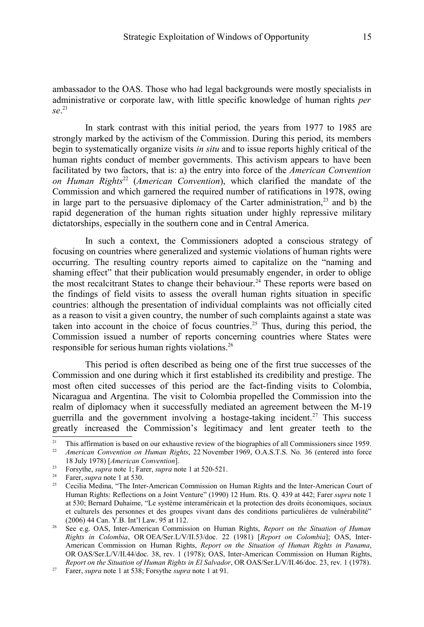ambassador to the OAS. Those who had legal backgrounds were mostly specialists in administrative or corporate law, with little specific knowledge of human rights *per se*. [21](#page-8-0)

In stark contrast with this initial period, the years from 1977 to 1985 are strongly marked by the activism of the Commission. During this period, its members begin to systematically organize visits *in situ* and to issue reports highly critical of the human rights conduct of member governments. This activism appears to have been facilitated by two factors, that is: a) the entry into force of the *American Convention on Human Rights*[22](#page-8-1) (*American Convention*), which clarified the mandate of the Commission and which garnered the required number of ratifications in 1978, owing in large part to the persuasive diplomacy of the Carter administration,<sup>[23](#page-8-2)</sup> and b) the rapid degeneration of the human rights situation under highly repressive military dictatorships, especially in the southern cone and in Central America.

In such a context, the Commissioners adopted a conscious strategy of focusing on countries where generalized and systemic violations of human rights were occurring. The resulting country reports aimed to capitalize on the "naming and shaming effect" that their publication would presumably engender, in order to oblige the most recalcitrant States to change their behaviour.<sup>[24](#page-8-3)</sup> These reports were based on the findings of field visits to assess the overall human rights situation in specific countries: although the presentation of individual complaints was not officially cited as a reason to visit a given country, the number of such complaints against a state was taken into account in the choice of focus countries. [25](#page-8-4) Thus, during this period, the Commission issued a number of reports concerning countries where States were responsible for serious human rights violations. [26](#page-8-5)

This period is often described as being one of the first true successes of the Commission and one during which it first established its credibility and prestige. The most often cited successes of this period are the fact-finding visits to Colombia, Nicaragua and Argentina. The visit to Colombia propelled the Commission into the realm of diplomacy when it successfully mediated an agreement between the M-19 guerrilla and the government involving a hostage-taking incident.<sup>[27](#page-8-6)</sup> This success greatly increased the Commission's legitimacy and lent greater teeth to the

<span id="page-8-1"></span><span id="page-8-0"></span><sup>&</sup>lt;sup>21</sup> This affirmation is based on our exhaustive review of the biographies of all Commissioners since 1959.<br><sup>22</sup> *American Convention on Human Rights* 22 November 1969. O A S T S. No. 36 (entered into force <sup>22</sup> *American Convention on Human Rights*, 22 November 1969, O.A.S.T.S. No. 36 (entered into force 18 July 1978) [*American Convention*].

<span id="page-8-2"></span><sup>&</sup>lt;sup>23</sup> Forsythe, *supra* note [1;](#page-2-0) Farer, *supra* note [1](#page-2-0) at 520-521.<br><sup>24</sup> Farer, *supra* note 1 at 530.

<span id="page-8-3"></span><sup>&</sup>lt;sup>24</sup> Farer, *supra* note [1](#page-2-0) at 530.<br><sup>25</sup> Cecilia Medina "The Inte

<span id="page-8-4"></span><sup>25</sup> Cecilia Medina, "The Inter-American Commission on Human Rights and the Inter-American Court of Human Rights: Reflections on a Joint Venture" (1990) 12 Hum. Rts. Q. 439 at 442; Farer *supra* note [1](#page-2-0) at 530; Bernard Duhaime, "Le système interaméricain et la protection des droits économiques, sociaux et culturels des personnes et des groupes vivant dans des conditions particulières de vulnérabilité" (2006) 44 Can. Y.B. Int'l Law. 95 at 112.

<span id="page-8-5"></span><sup>26</sup> See e.g. OAS, Inter-American Commission on Human Rights, *Report on the Situation of Human Rights in Colombia*, OR OEA/Ser.L/V/II.53/doc. 22 (1981) [*Report on Colombia*]; OAS, Inter-American Commission on Human Rights, *Report on the Situation of Human Rights in Panama*, OR OAS/Ser.L/V/II.44/doc. 38, rev. 1 (1978); OAS, Inter-American Commission on Human Rights, *Report on the Situation of Human Rights in El Salvador*, OR OAS/Ser.L/V/II.46/doc. 23, rev. 1 (1978).

<span id="page-8-6"></span><sup>27</sup> Farer, *supra* note [1](#page-2-0) at 538; Forsythe *supra* note [1](#page-2-0) at 91.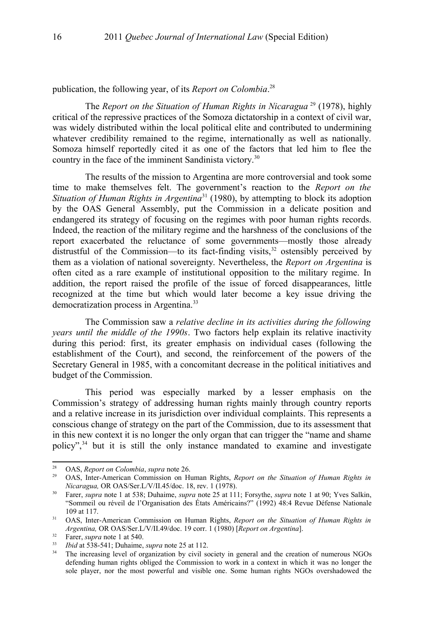publication, the following year, of its *Report on Colombia*. [28](#page-9-0)

The *Report on the Situation of Human Rights in Nicaragua*<sup>[29](#page-9-1)</sup> (1978), highly critical of the repressive practices of the Somoza dictatorship in a context of civil war, was widely distributed within the local political elite and contributed to undermining whatever credibility remained to the regime, internationally as well as nationally. Somoza himself reportedly cited it as one of the factors that led him to flee the country in the face of the imminent Sandinista victory.[30](#page-9-2)

The results of the mission to Argentina are more controversial and took some time to make themselves felt. The government's reaction to the *Report on the Situation of Human Rights in Argentina*[31](#page-9-3) (1980), by attempting to block its adoption by the OAS General Assembly, put the Commission in a delicate position and endangered its strategy of focusing on the regimes with poor human rights records. Indeed, the reaction of the military regime and the harshness of the conclusions of the report exacerbated the reluctance of some governments—mostly those already distrustful of the Commission—to its fact-finding visits, $32$  ostensibly perceived by them as a violation of national sovereignty. Nevertheless, the *Report on Argentina* is often cited as a rare example of institutional opposition to the military regime. In addition, the report raised the profile of the issue of forced disappearances, little recognized at the time but which would later become a key issue driving the democratization process in Argentina.[33](#page-9-5)

The Commission saw a *relative decline in its activities during the following years until the middle of the 1990s*. Two factors help explain its relative inactivity during this period: first, its greater emphasis on individual cases (following the establishment of the Court), and second, the reinforcement of the powers of the Secretary General in 1985, with a concomitant decrease in the political initiatives and budget of the Commission.

This period was especially marked by a lesser emphasis on the Commission's strategy of addressing human rights mainly through country reports and a relative increase in its jurisdiction over individual complaints. This represents a conscious change of strategy on the part of the Commission, due to its assessment that in this new context it is no longer the only organ that can trigger the "name and shame policy",  $34$  but it is still the only instance mandated to examine and investigate

<span id="page-9-0"></span><sup>28</sup> OAS, *Report on Colombia*, *supra* note [26.](#page-8-5)

<span id="page-9-1"></span><sup>29</sup> OAS, Inter-American Commission on Human Rights, *Report on the Situation of Human Rights in Nicaragua,* OR OAS/Ser.L/V/II.45/doc. 18, rev. 1 (1978).

<span id="page-9-2"></span><sup>30</sup> Farer, *supra* note [1](#page-2-0) at 538; Duhaime, *supra* note [25](#page-8-4) at 111; Forsythe, *supra* note [1](#page-2-0) at 90; Yves Salkin, "Sommeil ou réveil de l'Organisation des États Américains?" (1992) 48:4 Revue Défense Nationale 109 at 117.

<span id="page-9-3"></span><sup>31</sup> OAS, Inter-American Commission on Human Rights, *Report on the Situation of Human Rights in Argentina,* OR OAS/Ser.L/V/II.49/doc. 19 corr. 1 (1980) [*Report on Argentina*].

<span id="page-9-4"></span><sup>32</sup> Farer, *supra* note [1](#page-2-0) at 540.

<span id="page-9-5"></span><sup>33</sup> *Ibid* at 538-541; Duhaime, *supra* note [25](#page-8-4) at 112.

<span id="page-9-6"></span><sup>&</sup>lt;sup>34</sup> The increasing level of organization by civil society in general and the creation of numerous NGOs defending human rights obliged the Commission to work in a context in which it was no longer the sole player, nor the most powerful and visible one. Some human rights NGOs overshadowed the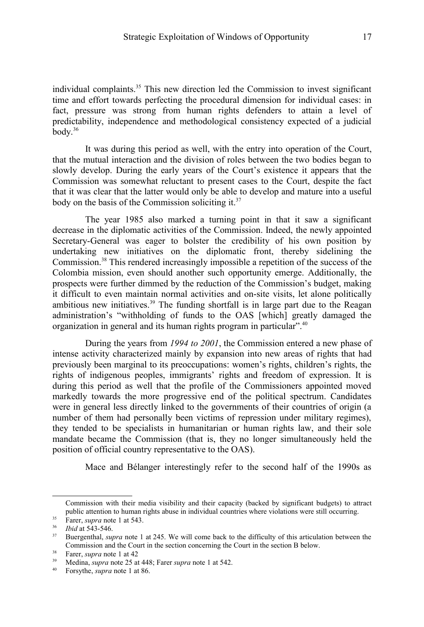individual complaints.[35](#page-10-0) This new direction led the Commission to invest significant time and effort towards perfecting the procedural dimension for individual cases: in fact, pressure was strong from human rights defenders to attain a level of predictability, independence and methodological consistency expected of a judicial  $body.<sup>36</sup>$  $body.<sup>36</sup>$  $body.<sup>36</sup>$ 

It was during this period as well, with the entry into operation of the Court, that the mutual interaction and the division of roles between the two bodies began to slowly develop. During the early years of the Court's existence it appears that the Commission was somewhat reluctant to present cases to the Court, despite the fact that it was clear that the latter would only be able to develop and mature into a useful body on the basis of the Commission soliciting it. $37$ 

The year 1985 also marked a turning point in that it saw a significant decrease in the diplomatic activities of the Commission. Indeed, the newly appointed Secretary-General was eager to bolster the credibility of his own position by undertaking new initiatives on the diplomatic front, thereby sidelining the Commission.[38](#page-10-3) This rendered increasingly impossible a repetition of the success of the Colombia mission, even should another such opportunity emerge. Additionally, the prospects were further dimmed by the reduction of the Commission's budget, making it difficult to even maintain normal activities and on-site visits, let alone politically ambitious new initiatives.<sup>[39](#page-10-4)</sup> The funding shortfall is in large part due to the Reagan administration's "withholding of funds to the OAS [which] greatly damaged the organization in general and its human rights program in particular".[40](#page-10-5)

During the years from *1994 to 2001*, the Commission entered a new phase of intense activity characterized mainly by expansion into new areas of rights that had previously been marginal to its preoccupations: women's rights, children's rights, the rights of indigenous peoples, immigrants' rights and freedom of expression. It is during this period as well that the profile of the Commissioners appointed moved markedly towards the more progressive end of the political spectrum. Candidates were in general less directly linked to the governments of their countries of origin (a number of them had personally been victims of repression under military regimes), they tended to be specialists in humanitarian or human rights law, and their sole mandate became the Commission (that is, they no longer simultaneously held the position of official country representative to the OAS).

Mace and Bélanger interestingly refer to the second half of the 1990s as

Commission with their media visibility and their capacity (backed by significant budgets) to attract public attention to human rights abuse in individual countries where violations were still occurring.

<span id="page-10-0"></span><sup>35</sup> Farer, *supra* note [1](#page-2-0) at 543.

<span id="page-10-1"></span><sup>36</sup> *Ibid* at 543-546.

<span id="page-10-2"></span><sup>&</sup>lt;sup>37</sup> Buergenthal, *supra* note [1](#page-2-0) at 245. We will come back to the difficulty of this articulation between the Commission and the Court in the section concerning the Court in the section B below.

<span id="page-10-3"></span><sup>38</sup> Farer, *supra* note [1](#page-2-0) at 42

<span id="page-10-4"></span><sup>39</sup> Medina, *supra* note [25](#page-8-4) at 448; Farer *supra* note [1](#page-2-0) at 542.

<span id="page-10-5"></span><sup>40</sup> Forsythe, *supra* note [1](#page-2-0) at 86.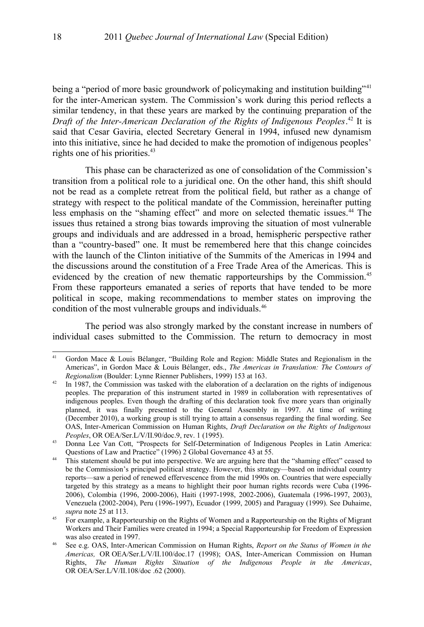being a "period of more basic groundwork of policymaking and institution building"<sup>[41](#page-11-0)</sup> for the inter-American system. The Commission's work during this period reflects a similar tendency, in that these years are marked by the continuing preparation of the *Draft of the Inter-American Declaration of the Rights of Indigenous Peoples*. [42](#page-11-1) It is said that Cesar Gaviria, elected Secretary General in 1994, infused new dynamism into this initiative, since he had decided to make the promotion of indigenous peoples' rights one of his priorities.<sup>[43](#page-11-2)</sup>

This phase can be characterized as one of consolidation of the Commission's transition from a political role to a juridical one. On the other hand, this shift should not be read as a complete retreat from the political field, but rather as a change of strategy with respect to the political mandate of the Commission, hereinafter putting less emphasis on the "shaming effect" and more on selected thematic issues.<sup>[44](#page-11-3)</sup> The issues thus retained a strong bias towards improving the situation of most vulnerable groups and individuals and are addressed in a broad, hemispheric perspective rather than a "country-based" one. It must be remembered here that this change coincides with the launch of the Clinton initiative of the Summits of the Americas in 1994 and the discussions around the constitution of a Free Trade Area of the Americas. This is evidenced by the creation of new thematic rapporteurships by the Commission.<sup>[45](#page-11-4)</sup> From these rapporteurs emanated a series of reports that have tended to be more political in scope, making recommendations to member states on improving the condition of the most vulnerable groups and individuals.[46](#page-11-5)

The period was also strongly marked by the constant increase in numbers of individual cases submitted to the Commission. The return to democracy in most

<span id="page-11-0"></span>Gordon Mace & Louis Bélanger, "Building Role and Region: Middle States and Regionalism in the Americas", in Gordon Mace & Louis Bélanger, eds., *The Americas in Translation: The Contours of Regionalism* (Boulder: Lynne Rienner Publishers, 1999) 153 at 163.

<span id="page-11-1"></span> $42$  In 1987, the Commission was tasked with the elaboration of a declaration on the rights of indigenous peoples. The preparation of this instrument started in 1989 in collaboration with representatives of indigenous peoples. Even though the drafting of this declaration took five more years than originally planned, it was finally presented to the General Assembly in 1997. At time of writing (December 2010), a working group is still trying to attain a consensus regarding the final wording. See OAS, Inter-American Commission on Human Rights, *Draft Declaration on the Rights of Indigenous Peoples*, OR OEA/Ser.L/V/II.90/doc.9, rev. 1 (1995).

<span id="page-11-2"></span><sup>43</sup> Donna Lee Van Cott, "Prospects for Self-Determination of Indigenous Peoples in Latin America: Questions of Law and Practice" (1996) 2 Global Governance 43 at 55.

<span id="page-11-3"></span><sup>&</sup>lt;sup>44</sup> This statement should be put into perspective. We are arguing here that the "shaming effect" ceased to be the Commission's principal political strategy. However, this strategy—based on individual country reports—saw a period of renewed effervescence from the mid 1990s on. Countries that were especially targeted by this strategy as a means to highlight their poor human rights records were Cuba (1996- 2006), Colombia (1996, 2000-2006), Haiti (1997-1998, 2002-2006), Guatemala (1996-1997, 2003), Venezuela (2002-2004), Peru (1996-1997), Ecuador (1999, 2005) and Paraguay (1999). See Duhaime, *supra* note [25](#page-8-4) at 113.

<span id="page-11-4"></span><sup>&</sup>lt;sup>45</sup> For example, a Rapporteurship on the Rights of Women and a Rapporteurship on the Rights of Migrant Workers and Their Families were created in 1994; a Special Rapporteurship for Freedom of Expression was also created in 1997.

<span id="page-11-5"></span><sup>46</sup> See e.g. OAS, Inter-American Commission on Human Rights, *Report on the Status of Women in the Americas,* OR OEA/Ser.L/V/II.100/doc.17 (1998); OAS, Inter-American Commission on Human Rights, *The Human Rights Situation of the Indigenous People in the Americas*, OR OEA/Ser.L/V/II.108/doc .62 (2000).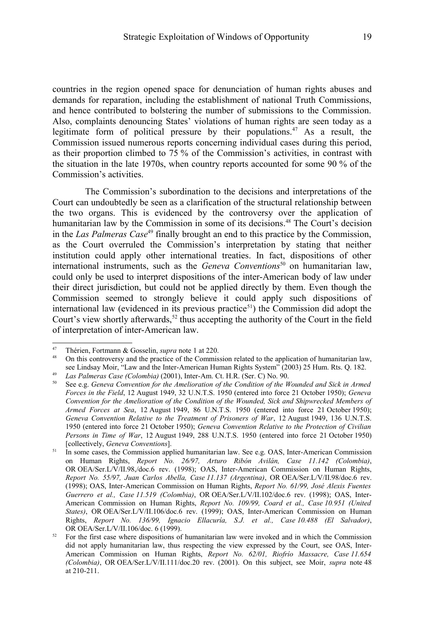countries in the region opened space for denunciation of human rights abuses and demands for reparation, including the establishment of national Truth Commissions, and hence contributed to bolstering the number of submissions to the Commission. Also, complaints denouncing States' violations of human rights are seen today as a legitimate form of political pressure by their populations.<sup>[47](#page-12-1)</sup> As a result, the Commission issued numerous reports concerning individual cases during this period, as their proportion climbed to 75 % of the Commission's activities, in contrast with the situation in the late 1970s, when country reports accounted for some 90 % of the Commission's activities.

The Commission's subordination to the decisions and interpretations of the Court can undoubtedly be seen as a clarification of the structural relationship between the two organs. This is evidenced by the controversy over the application of humanitarian law by the Commission in some of its decisions. [48](#page-12-0) The Court's decision in the *Las Palmeras Case*[49](#page-12-2) finally brought an end to this practice by the Commission, as the Court overruled the Commission's interpretation by stating that neither institution could apply other international treaties. In fact, dispositions of other international instruments, such as the *Geneva Conventions*<sup>[50](#page-12-3)</sup> on humanitarian law, could only be used to interpret dispositions of the inter-American body of law under their direct jurisdiction, but could not be applied directly by them. Even though the Commission seemed to strongly believe it could apply such dispositions of international law (evidenced in its previous practice<sup>[51](#page-12-4)</sup>) the Commission did adopt the Court's view shortly afterwards,<sup>[52](#page-12-5)</sup> thus accepting the authority of the Court in the field of interpretation of inter-American law.

<span id="page-12-1"></span><sup>47</sup> Thérien, Fortmann & Gosselin, *supra* note [1](#page-2-0) at 220.

<span id="page-12-0"></span><sup>48</sup> On this controversy and the practice of the Commission related to the application of humanitarian law, see Lindsay Moir, "Law and the Inter-American Human Rights System" (2003) 25 Hum. Rts. Q. 182.

<span id="page-12-2"></span><sup>49</sup> *Las Palmeras Case (Colombia)* (2001), Inter-Am. Ct. H.R. (Ser. C) No. 90.

<span id="page-12-3"></span><sup>50</sup> See e.g. *Geneva Convention for the Amelioration of the Condition of the Wounded and Sick in Armed Forces in the Field*, 12 August 1949, 32 U.N.T.S. 1950 (entered into force 21 October 1950); *Geneva Convention for the Amelioration of the Condition of the Wounded, Sick and Shipwrecked Members of Armed Forces at Sea*, 12 August 1949, 86 U.N.T.S. 1950 (entered into force 21 October 1950); *Geneva Convention Relative to the Treatment of Prisoners of War*, 12 August 1949, 136 U.N.T.S. 1950 (entered into force 21 October 1950); *Geneva Convention Relative to the Protection of Civilian Persons in Time of War*, 12 August 1949, 288 U.N.T.S. 1950 (entered into force 21 October 1950) [collectively, *Geneva Conventions*].

<span id="page-12-4"></span> $51$  In some cases, the Commission applied humanitarian law. See e.g. OAS, Inter-American Commission on Human Rights, *Report No. 26/97, Arturo Ribón Avilán, Case 11.142 (Colombia)*, OR OEA/Ser.L/V/II.98,/doc.6 rev. (1998); OAS, Inter-American Commission on Human Rights, *Report No. 55/97, Juan Carlos Abella, Case 11.137 (Argentina)*, OR OEA/Ser.L/V/II.98/doc.6 rev. (1998); OAS, Inter-American Commission on Human Rights, *Report No. 61/99, José Alexis Fuentes Guerrero et al., Case 11.519 (Colombia)*, OR OEA/Ser.L/V/II.102/doc.6 rev. (1998); OAS, Inter-American Commission on Human Rights, *Report No. 109/99, Coard et al., Case 10.951 (United States)*, OR OEA/Ser.L/V/II.106/doc.6 rev. (1999); OAS, Inter-American Commission on Human Rights, *Report No. 136/99, Ignacio Ellacuría, S.J. et al., Case 10.488 (El Salvador)*, OR OEA/Ser.L/V/II.106/doc. 6 (1999).

<span id="page-12-5"></span> $52$  For the first case where dispositions of humanitarian law were invoked and in which the Commission did not apply humanitarian law, thus respecting the view expressed by the Court, see OAS, Inter-American Commission on Human Rights, *Report No. 62/01, Riofrío Massacre, Case 11.654 (Colombia)*, OR OEA/Ser.L/V/II.111/doc.20 rev. (2001). On this subject, see Moir, *supra* note [48](#page-12-0) at 210-211.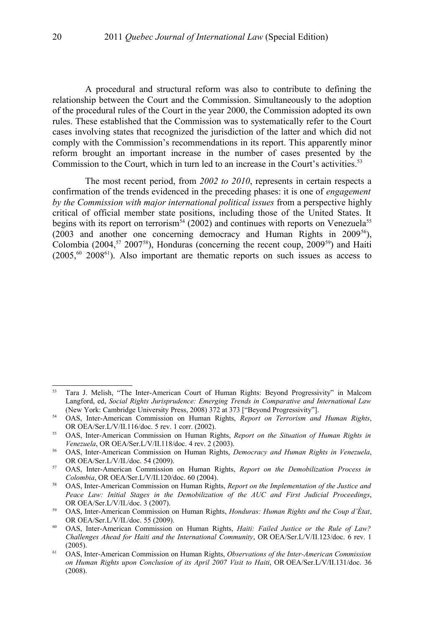A procedural and structural reform was also to contribute to defining the relationship between the Court and the Commission. Simultaneously to the adoption of the procedural rules of the Court in the year 2000, the Commission adopted its own rules. These established that the Commission was to systematically refer to the Court cases involving states that recognized the jurisdiction of the latter and which did not comply with the Commission's recommendations in its report. This apparently minor reform brought an important increase in the number of cases presented by the Commission to the Court, which in turn led to an increase in the Court's activities.<sup>[53](#page-13-0)</sup>

The most recent period, from *2002 to 2010*, represents in certain respects a confirmation of the trends evidenced in the preceding phases: it is one of *engagement by the Commission with major international political issues* from a perspective highly critical of official member state positions, including those of the United States. It begins with its report on terrorism<sup>[54](#page-13-1)</sup> (2002) and continues with reports on Venezuela<sup>[55](#page-13-2)</sup> (2003 and another one concerning democracy and Human Rights in 2009<sup>[56](#page-13-3)</sup>), Colombia (2004,<sup>[57](#page-13-4)</sup> 2007<sup>[58](#page-13-5)</sup>), Honduras (concerning the recent coup,  $2009^{59}$  $2009^{59}$  $2009^{59}$ ) and Haiti  $(2005, 60, 2008)$  $(2005, 60, 2008)$  $(2005, 60, 2008)$ . Also important are thematic reports on such issues as access to

<span id="page-13-0"></span><sup>53</sup> Tara J. Melish, "The Inter-American Court of Human Rights: Beyond Progressivity" in Malcom Langford, ed, *Social Rights Jurisprudence: Emerging Trends in Comparative and International Law* (New York: Cambridge University Press, 2008) 372 at 373 ["Beyond Progressivity"].

<span id="page-13-1"></span><sup>54</sup> OAS, Inter-American Commission on Human Rights, *Report on Terrorism and Human Rights*, OR OEA/Ser.L/V/II.116/doc. 5 rev. 1 corr. (2002).

<span id="page-13-2"></span><sup>55</sup> OAS, Inter-American Commission on Human Rights, *Report on the Situation of Human Rights in Venezuela*, OR OEA/Ser.L/V/II.118/doc. 4 rev. 2 (2003).

<span id="page-13-3"></span><sup>56</sup> OAS, Inter-American Commission on Human Rights, *Democracy and Human Rights in Venezuela*, OR OEA/Ser.L/V/II./doc. 54 (2009).

<span id="page-13-4"></span><sup>57</sup> OAS, Inter-American Commission on Human Rights, *Report on the Demobilization Process in Colombia*, OR OEA/Ser.L/V/II.120/doc. 60 (2004).

<span id="page-13-5"></span><sup>58</sup> OAS, Inter-American Commission on Human Rights, *Report on the Implementation of the Justice and Peace Law: Initial Stages in the Demobilization of the AUC and First Judicial Proceedings*, OR OEA/Ser.L/V/II./doc. 3 (2007).

<span id="page-13-6"></span><sup>59</sup> OAS, Inter-American Commission on Human Rights, *Honduras: Human Rights and the Coup d'État*, OR OEA/Ser.L/V/II./doc. 55 (2009).

<span id="page-13-7"></span><sup>60</sup> OAS, Inter-American Commission on Human Rights, *Haiti: Failed Justice or the Rule of Law? Challenges Ahead for Haiti and the International Community*, OR OEA/Ser.L/V/II.123/doc. 6 rev. 1 (2005).

<span id="page-13-8"></span><sup>61</sup> OAS, Inter-American Commission on Human Rights, *Observations of the Inter-American Commission on Human Rights upon Conclusion of its April 2007 Visit to Haiti*, OR OEA/Ser.L/V/II.131/doc. 36 (2008).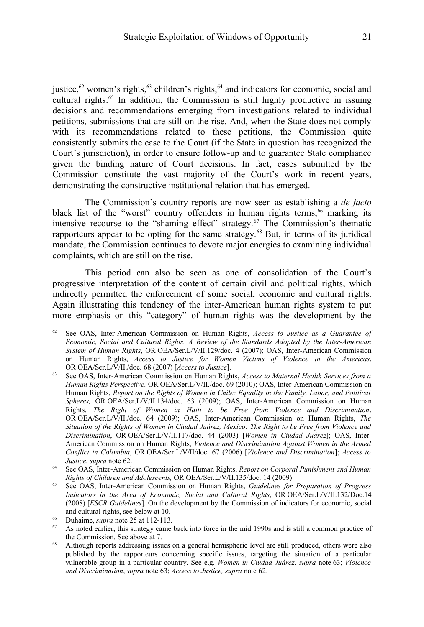justice,  $62$  women's rights,  $63$  children's rights,  $64$  and indicators for economic, social and cultural rights. [65](#page-14-3) In addition, the Commission is still highly productive in issuing decisions and recommendations emerging from investigations related to individual petitions, submissions that are still on the rise. And, when the State does not comply with its recommendations related to these petitions, the Commission quite consistently submits the case to the Court (if the State in question has recognized the Court's jurisdiction), in order to ensure follow-up and to guarantee State compliance given the binding nature of Court decisions. In fact, cases submitted by the Commission constitute the vast majority of the Court's work in recent years, demonstrating the constructive institutional relation that has emerged.

The Commission's country reports are now seen as establishing a *de facto* black list of the "worst" country offenders in human rights terms,<sup>[66](#page-14-4)</sup> marking its intensive recourse to the "shaming effect" strategy.[67](#page-14-5) The Commission's thematic rapporteurs appear to be opting for the same strategy.<sup>[68](#page-14-6)</sup> But, in terms of its juridical mandate, the Commission continues to devote major energies to examining individual complaints, which are still on the rise.

This period can also be seen as one of consolidation of the Court's progressive interpretation of the content of certain civil and political rights, which indirectly permitted the enforcement of some social, economic and cultural rights. Again illustrating this tendency of the inter-American human rights system to put more emphasis on this "category" of human rights was the development by the

<span id="page-14-0"></span><sup>62</sup> See OAS, Inter-American Commission on Human Rights, *Access to Justice as a Guarantee of Economic, Social and Cultural Rights. A Review of the Standards Adopted by the Inter-American System of Human Rights*, OR OEA/Ser.L/V/II.129/doc. 4 (2007); OAS, Inter-American Commission on Human Rights, *Access to Justice for Women Victims of Violence in the Americas*, OR OEA/Ser.L/V/II./doc. 68 (2007) [*Access to Justice*].

<span id="page-14-1"></span><sup>63</sup> See OAS, Inter-American Commission on Human Rights, *Access to Maternal Health Services from a Human Rights Perspective,* OR OEA/Ser.L/V/II./doc. 69 (2010); OAS, Inter-American Commission on Human Rights, *Report on the Rights of Women in Chile: Equality in the Family, Labor, and Political Spheres,* OR OEA/Ser.L/V/II.134/doc. 63 (2009); OAS, Inter-American Commission on Human Rights, *The Right of Women in Haiti to be Free from Violence and Discrimination*, OR OEA/Ser.L/V/II./doc. 64 (2009); OAS, Inter-American Commission on Human Rights, *The Situation of the Rights of Women in Ciudad Juárez, Mexico: The Right to be Free from Violence and Discrimination*, OR OEA/Ser.L/V/II.117/doc. 44 (2003) [*Women in Ciudad Juárez*]; OAS, Inter-American Commission on Human Rights, *Violence and Discrimination Against Women in the Armed Conflict in Colombia*, OR OEA/Ser.L/V/II/doc. 67 (2006) [*Violence and Discrimination*]; *Access to Justice*, *supra* note [62.](#page-14-0)

<span id="page-14-2"></span><sup>64</sup> See OAS, Inter-American Commission on Human Rights, *Report on Corporal Punishment and Human Rights of Children and Adolescents,* OR OEA/Ser.L/V/II.135/doc. 14 (2009).

<span id="page-14-3"></span><sup>65</sup> See OAS, Inter-American Commission on Human Rights, *Guidelines for Preparation of Progress Indicators in the Area of Economic, Social and Cultural Rights*, OR OEA/Ser.L/V/II.132/Doc.14 (2008) [*ESCR Guidelines*]. On the development by the Commission of indicators for economic, social and cultural rights, see below at [10.](#page-6-3)

<span id="page-14-4"></span><sup>&</sup>lt;sup>66</sup> Duhaime, *supra* note [25](#page-8-4) at 112-113.

<span id="page-14-5"></span>As noted earlier, this strategy came back into force in the mid 1990s and is still a common practice of the Commission. See above at [7.](#page-6-0)

<span id="page-14-6"></span><sup>&</sup>lt;sup>68</sup> Although reports addressing issues on a general hemispheric level are still produced, others were also published by the rapporteurs concerning specific issues, targeting the situation of a particular vulnerable group in a particular country. See e.g. *Women in Ciudad Juárez*, *supra* note [63;](#page-14-1) *Violence and Discrimination*, *supra* note [63;](#page-14-1) *Access to Justice, supra* note [62.](#page-14-0)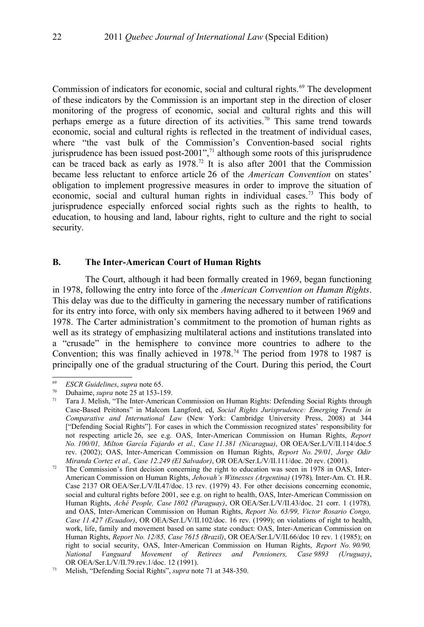Commission of indicators for economic, social and cultural rights.<sup>[69](#page-15-1)</sup> The development of these indicators by the Commission is an important step in the direction of closer monitoring of the progress of economic, social and cultural rights and this will perhaps emerge as a future direction of its activities.[70](#page-15-2) This same trend towards economic, social and cultural rights is reflected in the treatment of individual cases, where "the vast bulk of the Commission's Convention-based social rights jurisprudence has been issued post-2001", $71$  although some roots of this jurisprudence can be traced back as early as  $1978<sup>72</sup>$  $1978<sup>72</sup>$  $1978<sup>72</sup>$  It is also after 2001 that the Commission became less reluctant to enforce article 26 of the *American Convention* on states' obligation to implement progressive measures in order to improve the situation of economic, social and cultural human rights in individual cases.<sup>[73](#page-15-4)</sup> This body of jurisprudence especially enforced social rights such as the rights to health, to education, to housing and land, labour rights, right to culture and the right to social security.

#### **B. The Inter-American Court of Human Rights**

The Court, although it had been formally created in 1969, began functioning in 1978, following the entry into force of the *American Convention on Human Rights*. This delay was due to the difficulty in garnering the necessary number of ratifications for its entry into force, with only six members having adhered to it between 1969 and 1978. The Carter administration's commitment to the promotion of human rights as well as its strategy of emphasizing multilateral actions and institutions translated into a "crusade" in the hemisphere to convince more countries to adhere to the Convention; this was finally achieved in 1978.<sup>[74](#page-16-0)</sup> The period from 1978 to 1987 is principally one of the gradual structuring of the Court. During this period, the Court

<span id="page-15-1"></span><sup>69</sup> *ESCR Guidelines*, *supra* note [65.](#page-14-3)

<span id="page-15-2"></span><sup>&</sup>lt;sup>70</sup> Duhaime, *supra* note [25](#page-8-4) at 153-159.

<span id="page-15-0"></span>Tara J. Melish, "The Inter-American Commission on Human Rights: Defending Social Rights through Case-Based Peititons" in Malcom Langford, ed, *Social Rights Jurisprudence: Emerging Trends in Comparative and International Law* (New York: Cambridge University Press, 2008) at 344 ["Defending Social Rights"]. For cases in which the Commission recognized states' responsibility for not respecting article 26, see e.g. OAS, Inter-American Commission on Human Rights, *Report No. 100/01, Milton García Fajardo et al., Case 11.381 (Nicaragua)*, OR OEA/Ser.L/V/II.114/doc.5 rev. (2002); OAS, Inter-American Commission on Human Rights, *Report No. 29/01, Jorge Odir Miranda Cortez et al., Case 12.249 (El Salvador)*, OR OEA/Ser.L/V/II.111/doc. 20 rev. (2001).

<span id="page-15-3"></span> $72$  The Commission's first decision concerning the right to education was seen in 1978 in OAS, Inter-American Commission on Human Rights, *Jehovah's Witnesses (Argentina)* (1978)*,* Inter-Am. Ct. H.R. Case 2137 OR OEA/Ser.L/V/II.47/doc. 13 rev. (1979) 43. For other decisions concerning economic, social and cultural rights before 2001, see e.g. on right to health, OAS, Inter-American Commission on Human Rights, *Aché People, Case 1802 (Paraguay)*, OR OEA/Ser.L/V/II.43/doc. 21 corr. 1 (1978)*,* and OAS, Inter-American Commission on Human Rights, *Report No. 63/99, Victor Rosario Congo, Case 11.427 (Ecuador)*, OR OEA/Ser.L/V/II.102/doc. 16 rev. (1999); on violations of right to health, work, life, family and movement based on same state conduct: OAS, Inter-American Commission on Human Rights, *Report No. 12/85, Case 7615 (Brazil)*, OR OEA/Ser.L/V/II.66/doc 10 rev. 1 (1985); on right to social security, OAS, Inter-American Commission on Human Rights, *Report No. 90/90, National Vanguard Movement of Retirees and Pensioners, Case 9893 (Uruguay)*, OR OEA/Ser.L/V/II.79.rev.1/doc. 12 (1991).

<span id="page-15-4"></span><sup>73</sup> Melish, "Defending Social Rights", *supra* note [71](#page-15-0) at 348-350.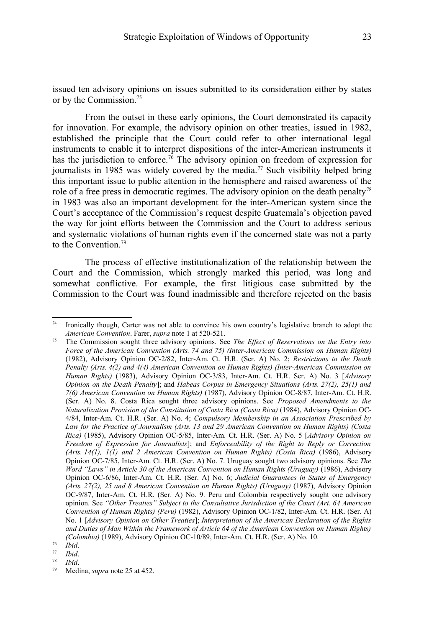issued ten advisory opinions on issues submitted to its consideration either by states or by the Commission. [75](#page-16-1)

From the outset in these early opinions, the Court demonstrated its capacity for innovation. For example, the advisory opinion on other treaties, issued in 1982, established the principle that the Court could refer to other international legal instruments to enable it to interpret dispositions of the inter-American instruments it has the jurisdiction to enforce.<sup>[76](#page-16-2)</sup> The advisory opinion on freedom of expression for journalists in 1985 was widely covered by the media.<sup>[77](#page-16-3)</sup> Such visibility helped bring this important issue to public attention in the hemisphere and raised awareness of the role of a free press in democratic regimes. The advisory opinion on the death penalty<sup>[78](#page-16-4)</sup> in 1983 was also an important development for the inter-American system since the Court's acceptance of the Commission's request despite Guatemala's objection paved the way for joint efforts between the Commission and the Court to address serious and systematic violations of human rights even if the concerned state was not a party to the Convention.<sup>[79](#page-16-5)</sup>

The process of effective institutionalization of the relationship between the Court and the Commission, which strongly marked this period, was long and somewhat conflictive. For example, the first litigious case submitted by the Commission to the Court was found inadmissible and therefore rejected on the basis

<span id="page-16-4"></span> $\frac{78}{79}$  *Ibid.* 

<span id="page-16-0"></span><sup>74</sup> Ironically though, Carter was not able to convince his own country's legislative branch to adopt the *American Convention*. Farer, *supra* note [1](#page-2-0) at 520-521.

<span id="page-16-1"></span><sup>75</sup> The Commission sought three advisory opinions. See *The Effect of Reservations on the Entry into Force of the American Convention (Arts. 74 and 75) (Inter-American Commission on Human Rights)* (1982), Advisory Opinion OC-2/82, Inter-Am. Ct. H.R. (Ser. A) No. 2; *Restrictions to the Death Penalty (Arts. 4(2) and 4(4) American Convention on Human Rights) (Inter-American Commission on Human Rights)* (1983), Advisory Opinion OC-3/83, Inter-Am. Ct. H.R. Ser. A) No. 3 [*Advisory Opinion on the Death Penalty*]; and *Habeas Corpus in Emergency Situations (Arts. 27(2), 25(1) and 7(6) American Convention on Human Rights)* (1987), Advisory Opinion OC-8/87, Inter-Am. Ct. H.R. (Ser. A) No. 8. Costa Rica sought three advisory opinions. See *Proposed Amendments to the Naturalization Provision of the Constitution of Costa Rica (Costa Rica)* (1984), Advisory Opinion OC-4/84, Inter-Am. Ct. H.R. (Ser. A) No. 4; *Compulsory Membership in an Association Prescribed by Law for the Practice of Journalism (Arts. 13 and 29 American Convention on Human Rights) (Costa Rica)* (1985), Advisory Opinion OC-5/85, Inter-Am. Ct. H.R. (Ser. A) No. 5 [*Advisory Opinion on Freedom of Expression for Journalists*]; and *Enforceability of the Right to Reply or Correction (Arts. 14(1), 1(1) and 2 American Convention on Human Rights) (Costa Rica)* (1986), Advisory Opinion OC-7/85, Inter-Am. Ct. H.R. (Ser. A) No. 7. Uruguay sought two advisory opinions. See *The Word "Laws" in Article 30 of the American Convention on Human Rights (Uruguay)* (1986), Advisory Opinion OC-6/86, Inter-Am. Ct. H.R. (Ser. A) No. 6; *Judicial Guarantees in States of Emergency (Arts. 27(2), 25 and 8 American Convention on Human Rights) (Uruguay)* (1987), Advisory Opinion OC-9/87, Inter-Am. Ct. H.R. (Ser. A) No. 9. Peru and Colombia respectively sought one advisory opinion. See *"Other Treaties" Subject to the Consultative Jurisdiction of the Court (Art. 64 American Convention of Human Rights) (Peru)* (1982), Advisory Opinion OC-1/82, Inter-Am. Ct. H.R. (Ser. A) No. 1 [*Advisory Opinion on Other Treaties*]; *Interpretation of the American Declaration of the Rights and Duties of Man Within the Framework of Article 64 of the American Convention on Human Rights) (Colombia)* (1989), Advisory Opinion OC-10/89, Inter-Am. Ct. H.R. (Ser. A) No. 10.

<span id="page-16-2"></span> $\frac{76}{77}$  *Ibid.* 

<span id="page-16-3"></span> $\frac{77}{78}$  *Ibid.* 

<span id="page-16-5"></span>Medina, *supra* note [25](#page-8-4) at 452.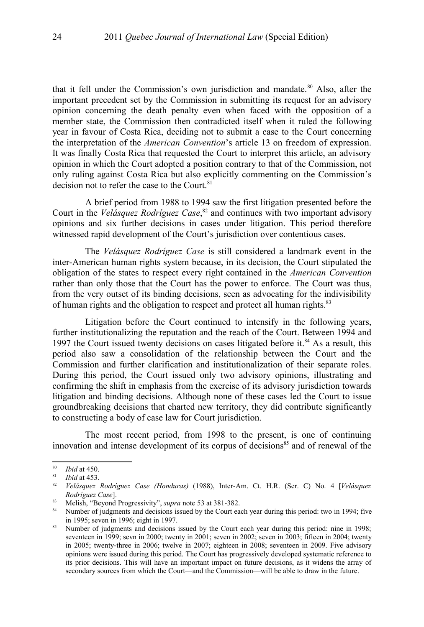that it fell under the Commission's own jurisdiction and mandate. $80$  Also, after the important precedent set by the Commission in submitting its request for an advisory opinion concerning the death penalty even when faced with the opposition of a member state, the Commission then contradicted itself when it ruled the following year in favour of Costa Rica, deciding not to submit a case to the Court concerning the interpretation of the *American Convention*'s article 13 on freedom of expression. It was finally Costa Rica that requested the Court to interpret this article, an advisory opinion in which the Court adopted a position contrary to that of the Commission, not only ruling against Costa Rica but also explicitly commenting on the Commission's decision not to refer the case to the Court.<sup>[81](#page-17-1)</sup>

A brief period from 1988 to 1994 saw the first litigation presented before the Court in the *Velásquez Rodríguez Case*, [82](#page-17-2) and continues with two important advisory opinions and six further decisions in cases under litigation. This period therefore witnessed rapid development of the Court's jurisdiction over contentious cases.

The *Velásquez Rodríguez Case* is still considered a landmark event in the inter-American human rights system because, in its decision, the Court stipulated the obligation of the states to respect every right contained in the *American Convention* rather than only those that the Court has the power to enforce. The Court was thus, from the very outset of its binding decisions, seen as advocating for the indivisibility of human rights and the obligation to respect and protect all human rights.<sup>[83](#page-17-3)</sup>

Litigation before the Court continued to intensify in the following years, further institutionalizing the reputation and the reach of the Court. Between 1994 and 1997 the Court issued twenty decisions on cases litigated before it. $84$  As a result, this period also saw a consolidation of the relationship between the Court and the Commission and further clarification and institutionalization of their separate roles. During this period, the Court issued only two advisory opinions, illustrating and confirming the shift in emphasis from the exercise of its advisory jurisdiction towards litigation and binding decisions. Although none of these cases led the Court to issue groundbreaking decisions that charted new territory, they did contribute significantly to constructing a body of case law for Court jurisdiction.

The most recent period, from 1998 to the present, is one of continuing innovation and intense development of its corpus of decisions<sup>[85](#page-17-5)</sup> and of renewal of the

<span id="page-17-0"></span> $\frac{80}{81}$  *Ibid* at 450.

<span id="page-17-1"></span> $\frac{81}{82}$  *Ibid* at 453.

<span id="page-17-2"></span><sup>82</sup> *Velásquez Rodríguez Case (Honduras)* (1988), Inter-Am. Ct. H.R. (Ser. C) No. 4 [*Velásquez Rodríguez Case*].

<span id="page-17-3"></span><sup>83</sup> Melish, "Beyond Progressivity", *supra* note [53](#page-13-0) at 381-382.

<span id="page-17-4"></span><sup>&</sup>lt;sup>84</sup> Number of judgments and decisions issued by the Court each year during this period: two in 1994; five in 1995; seven in 1996; eight in 1997.

<span id="page-17-5"></span><sup>&</sup>lt;sup>85</sup> Number of judgments and decisions issued by the Court each year during this period: nine in 1998; seventeen in 1999; sevn in 2000; twenty in 2001; seven in 2002; seven in 2003; fifteen in 2004; twenty in 2005; twenty-three in 2006; twelve in 2007; eighteen in 2008; seventeen in 2009. Five advisory opinions were issued during this period. The Court has progressively developed systematic reference to its prior decisions. This will have an important impact on future decisions, as it widens the array of secondary sources from which the Court—and the Commission—will be able to draw in the future.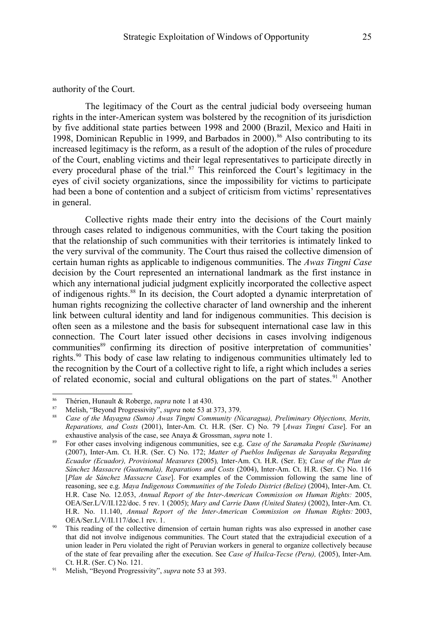#### authority of the Court.

The legitimacy of the Court as the central judicial body overseeing human rights in the inter-American system was bolstered by the recognition of its jurisdiction by five additional state parties between 1998 and 2000 (Brazil, Mexico and Haiti in 1998, Dominican Republic in 1999, and Barbados in 2000).<sup>[86](#page-18-0)</sup> Also contributing to its increased legitimacy is the reform, as a result of the adoption of the rules of procedure of the Court, enabling victims and their legal representatives to participate directly in every procedural phase of the trial.<sup>[87](#page-18-1)</sup> This reinforced the Court's legitimacy in the eyes of civil society organizations, since the impossibility for victims to participate had been a bone of contention and a subject of criticism from victims' representatives in general.

Collective rights made their entry into the decisions of the Court mainly through cases related to indigenous communities, with the Court taking the position that the relationship of such communities with their territories is intimately linked to the very survival of the community. The Court thus raised the collective dimension of certain human rights as applicable to indigenous communities. The *Awas Tingni Case* decision by the Court represented an international landmark as the first instance in which any international judicial judgment explicitly incorporated the collective aspect of indigenous rights.[88](#page-18-2) In its decision, the Court adopted a dynamic interpretation of human rights recognizing the collective character of land ownership and the inherent link between cultural identity and land for indigenous communities. This decision is often seen as a milestone and the basis for subsequent international case law in this connection. The Court later issued other decisions in cases involving indigenous communities[89](#page-18-3) confirming its direction of positive interpretation of communities' rights.[90](#page-18-4) This body of case law relating to indigenous communities ultimately led to the recognition by the Court of a collective right to life, a right which includes a series of related economic, social and cultural obligations on the part of states.<sup>[91](#page-18-5)</sup> Another

<span id="page-18-0"></span><sup>86</sup> Thérien, Hunault & Roberge, *supra* note [1](#page-2-0) at 430.

<span id="page-18-1"></span><sup>87</sup> Melish, "Beyond Progressivity", *supra* note [53](#page-13-0) at 373, 379.

<span id="page-18-2"></span><sup>88</sup> *Case of the Mayagna (Sumo) Awas Tingni Community (Nicaragua), Preliminary Objections, Merits, Reparations, and Costs* (2001), Inter-Am. Ct. H.R. (Ser. C) No. 79 [*Awas Tingni Case*]. For an exhaustive analysis of the case, see Anaya & Grossman, *supra* note [1.](#page-2-0)

<span id="page-18-3"></span><sup>89</sup> For other cases involving indigenous communities, see e.g. *Case of the Saramaka People (Suriname)* (2007), Inter-Am. Ct. H.R. (Ser. C) No. 172; *Matter of Pueblos Indígenas de Sarayaku Regarding Ecuador (Ecuador), Provisional Measures* (2005)*,* Inter-Am. Ct. H.R. (Ser. E); *Case of the Plan de Sánchez Massacre (Guatemala), Reparations and Costs* (2004), Inter-Am. Ct. H.R. (Ser. C) No. 116 [*Plan de Sánchez Massacre Case*]. For examples of the Commission following the same line of reasoning, see e.g. *Maya Indigenous Communities of the Toledo District (Belize)* (2004), Inter-Am. Ct. H.R. Case No. 12.053, *Annual Report of the Inter-American Commission on Human Rights:* 2005, OEA/Ser.L/V/II.122/doc. 5 rev. 1 (2005); *Mary and Carrie Dann (United States)* (2002), Inter-Am. Ct. H.R. No. 11.140, *Annual Report of the Inter-American Commission on Human Rights:* 2003, OEA/Ser.L/V/II.117/doc.1 rev. 1.

<span id="page-18-4"></span>This reading of the collective dimension of certain human rights was also expressed in another case that did not involve indigenous communities. The Court stated that the extrajudicial execution of a union leader in Peru violated the right of Peruvian workers in general to organize collectively because of the state of fear prevailing after the execution. See *Case of Huilca-Tecse (Peru),* (2005), Inter-Am. Ct. H.R. (Ser. C) No. 121.

<span id="page-18-5"></span><sup>91</sup> Melish, "Beyond Progressivity", *supra* note [53](#page-13-0) at 393.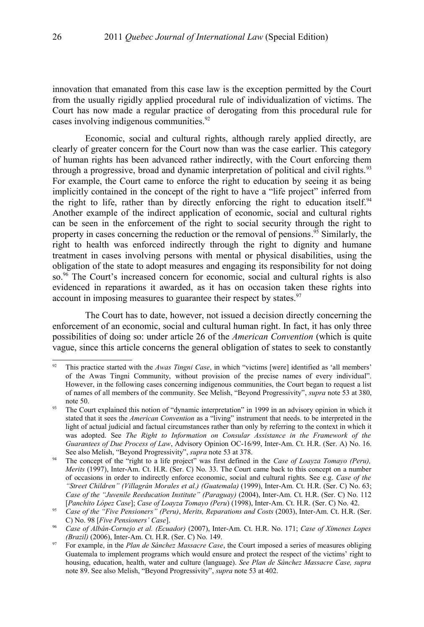innovation that emanated from this case law is the exception permitted by the Court from the usually rigidly applied procedural rule of individualization of victims. The Court has now made a regular practice of derogating from this procedural rule for cases involving indigenous communities.<sup>[92](#page-19-0)</sup>

Economic, social and cultural rights, although rarely applied directly, are clearly of greater concern for the Court now than was the case earlier. This category of human rights has been advanced rather indirectly, with the Court enforcing them through a progressive, broad and dynamic interpretation of political and civil rights.<sup>[93](#page-19-1)</sup> For example, the Court came to enforce the right to education by seeing it as being implicitly contained in the concept of the right to have a "life project" inferred from the right to life, rather than by directly enforcing the right to education itself.<sup>[94](#page-19-2)</sup> Another example of the indirect application of economic, social and cultural rights can be seen in the enforcement of the right to social security through the right to property in cases concerning the reduction or the removal of pensions. [95](#page-19-3) Similarly, the right to health was enforced indirectly through the right to dignity and humane treatment in cases involving persons with mental or physical disabilities, using the obligation of the state to adopt measures and engaging its responsibility for not doing so.<sup>[96](#page-19-4)</sup> The Court's increased concern for economic, social and cultural rights is also evidenced in reparations it awarded, as it has on occasion taken these rights into account in imposing measures to guarantee their respect by states.<sup>[97](#page-19-5)</sup>

The Court has to date, however, not issued a decision directly concerning the enforcement of an economic, social and cultural human right. In fact, it has only three possibilities of doing so: under article 26 of the *American Convention* (which is quite vague, since this article concerns the general obligation of states to seek to constantly

<span id="page-19-0"></span><sup>92</sup> This practice started with the *Awas Tingni Case*, in which "victims [were] identified as 'all members' of the Awas Tingni Community, without provision of the precise names of every individual". However, in the following cases concerning indigenous communities, the Court began to request a list of names of all members of the community. See Melish, "Beyond Progressivity", *supra* note [53](#page-13-0) at 380, note 50.

<span id="page-19-1"></span><sup>93</sup> The Court explained this notion of "dynamic interpretation" in 1999 in an advisory opinion in which it stated that it sees the *American Convention* as a "living" instrument that needs. to be interpreted in the light of actual judicial and factual circumstances rather than only by referring to the context in which it was adopted. See *The Right to Information on Consular Assistance in the Framework of the Guarantees of Due Process of Law*, Advisory Opinion OC-16/99, Inter-Am. Ct. H.R. (Ser. A) No. 16. See also Melish, "Beyond Progressivity", *supra* note [53](#page-13-0) at 378.

<span id="page-19-2"></span><sup>94</sup> The concept of the "right to a life project" was first defined in the *Case of Loayza Tomayo (Peru), Merits* (1997), Inter-Am. Ct. H.R. (Ser. C) No. 33. The Court came back to this concept on a number of occasions in order to indirectly enforce economic, social and cultural rights. See e.g. *Case of the "Street Children" (Villagrán Morales et al.) (Guatemala)* (1999), Inter-Am. Ct. H.R. (Ser. C) No. 63; *Case of the "Juvenile Reeducation Institute" (Paraguay)* (2004), Inter-Am. Ct. H.R. (Ser. C) No. 112 [*Panchito López Case*]; *Case of Loayza Tomayo (Peru*) (1998), Inter-Am. Ct. H.R. (Ser. C) No. 42.

<span id="page-19-3"></span><sup>95</sup> *Case of the "Five Pensioners" (Peru)*, *Merits, Reparations and Costs* (2003), Inter-Am. Ct. H.R. (Ser. C) No. 98 [*Five Pensioners' Case*].

<span id="page-19-4"></span><sup>96</sup> *Case of Albán-Cornejo et al. (Ecuador)* (2007), Inter-Am. Ct. H.R. No. 171; *Case of Ximenes Lopes (Brazil)* (2006), Inter-Am. Ct. H.R. (Ser. C) No. 149.

<span id="page-19-5"></span><sup>97</sup> For example, in the *Plan de Sánchez Massacre Case*, the Court imposed a series of measures obliging Guatemala to implement programs which would ensure and protect the respect of the victims' right to housing, education, health, water and culture (language). *See Plan de Sánchez Massacre Case, supra* note [89.](#page-18-3) See also Melish, "Beyond Progressivity", *supra* note [53](#page-13-0) at 402.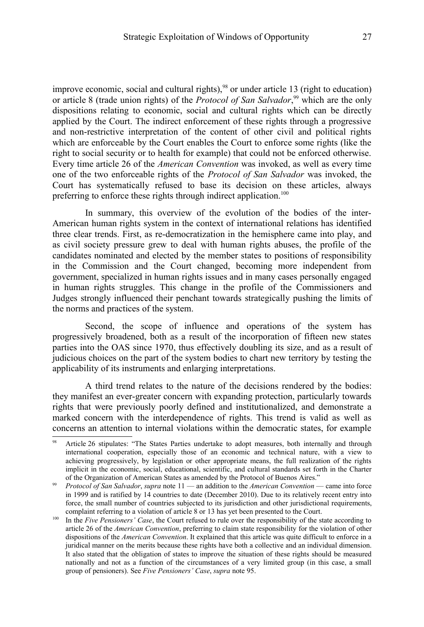improve economic, social and cultural rights),  $98$  or under article 13 (right to education) or article 8 (trade union rights) of the *Protocol of San Salvador*,<sup>[99](#page-20-1)</sup> which are the only dispositions relating to economic, social and cultural rights which can be directly applied by the Court. The indirect enforcement of these rights through a progressive and non-restrictive interpretation of the content of other civil and political rights which are enforceable by the Court enables the Court to enforce some rights (like the right to social security or to health for example) that could not be enforced otherwise. Every time article 26 of the *American Convention* was invoked, as well as every time one of the two enforceable rights of the *Protocol of San Salvador* was invoked, the Court has systematically refused to base its decision on these articles, always preferring to enforce these rights through indirect application.<sup>[100](#page-20-2)</sup>

In summary, this overview of the evolution of the bodies of the inter-American human rights system in the context of international relations has identified three clear trends. First, as re-democratization in the hemisphere came into play, and as civil society pressure grew to deal with human rights abuses, the profile of the candidates nominated and elected by the member states to positions of responsibility in the Commission and the Court changed, becoming more independent from government, specialized in human rights issues and in many cases personally engaged in human rights struggles. This change in the profile of the Commissioners and Judges strongly influenced their penchant towards strategically pushing the limits of the norms and practices of the system.

Second, the scope of influence and operations of the system has progressively broadened, both as a result of the incorporation of fifteen new states parties into the OAS since 1970, thus effectively doubling its size, and as a result of judicious choices on the part of the system bodies to chart new territory by testing the applicability of its instruments and enlarging interpretations.

A third trend relates to the nature of the decisions rendered by the bodies: they manifest an ever-greater concern with expanding protection, particularly towards rights that were previously poorly defined and institutionalized, and demonstrate a marked concern with the interdependence of rights. This trend is valid as well as concerns an attention to internal violations within the democratic states, for example

<span id="page-20-0"></span>Article 26 stipulates: "The States Parties undertake to adopt measures, both internally and through international cooperation, especially those of an economic and technical nature, with a view to achieving progressively, by legislation or other appropriate means, the full realization of the rights implicit in the economic, social, educational, scientific, and cultural standards set forth in the Charter of the Organization of American States as amended by the Protocol of Buenos Aires."

<span id="page-20-1"></span><sup>99</sup> *Protocol of San Salvador*, *supra* note [11](#page-6-4) — an addition to the *American Convention* — came into force in 1999 and is ratified by 14 countries to date (December 2010). Due to its relatively recent entry into force, the small number of countries subjected to its jurisdiction and other jurisdictional requirements, complaint referring to a violation of article 8 or 13 has yet been presented to the Court.

<span id="page-20-2"></span><sup>&</sup>lt;sup>100</sup> In the *Five Pensioners' Case*, the Court refused to rule over the responsibility of the state according to article 26 of the *American Convention*, preferring to claim state responsibility for the violation of other dispositions of the *American Convention*. It explained that this article was quite difficult to enforce in a juridical manner on the merits because these rights have both a collective and an individual dimension. It also stated that the obligation of states to improve the situation of these rights should be measured nationally and not as a function of the circumstances of a very limited group (in this case, a small group of pensioners). See *Five Pensioners' Case*, *supra* note [95.](#page-19-3)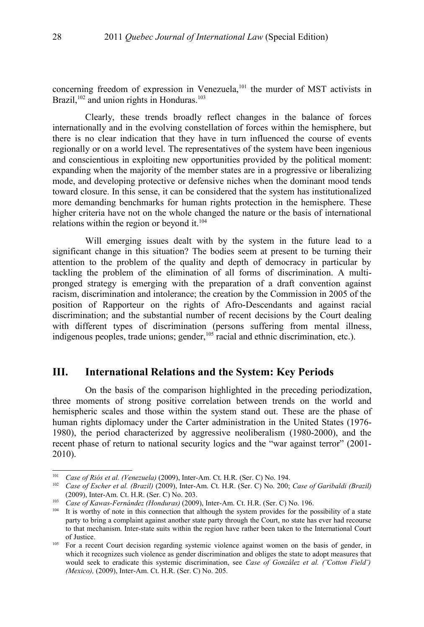concerning freedom of expression in Venezuela,<sup>[101](#page-21-0)</sup> the murder of MST activists in Brazil, $102$  and union rights in Honduras.<sup>[103](#page-21-2)</sup>

Clearly, these trends broadly reflect changes in the balance of forces internationally and in the evolving constellation of forces within the hemisphere, but there is no clear indication that they have in turn influenced the course of events regionally or on a world level. The representatives of the system have been ingenious and conscientious in exploiting new opportunities provided by the political moment: expanding when the majority of the member states are in a progressive or liberalizing mode, and developing protective or defensive niches when the dominant mood tends toward closure. In this sense, it can be considered that the system has institutionalized more demanding benchmarks for human rights protection in the hemisphere. These higher criteria have not on the whole changed the nature or the basis of international relations within the region or beyond it.<sup>[104](#page-21-3)</sup>

Will emerging issues dealt with by the system in the future lead to a significant change in this situation? The bodies seem at present to be turning their attention to the problem of the quality and depth of democracy in particular by tackling the problem of the elimination of all forms of discrimination. A multipronged strategy is emerging with the preparation of a draft convention against racism, discrimination and intolerance; the creation by the Commission in 2005 of the position of Rapporteur on the rights of Afro-Descendants and against racial discrimination; and the substantial number of recent decisions by the Court dealing with different types of discrimination (persons suffering from mental illness, indigenous peoples, trade unions; gender, <sup>[105](#page-21-4)</sup> racial and ethnic discrimination, etc.).

## **III. International Relations and the System: Key Periods**

On the basis of the comparison highlighted in the preceding periodization, three moments of strong positive correlation between trends on the world and hemispheric scales and those within the system stand out. These are the phase of human rights diplomacy under the Carter administration in the United States (1976- 1980), the period characterized by aggressive neoliberalism (1980-2000), and the recent phase of return to national security logics and the "war against terror" (2001- 2010).

<span id="page-21-0"></span><sup>101</sup> *Case of Riós et al. (Venezuela)* (2009), Inter-Am. Ct. H.R. (Ser. C) No. 194.

<span id="page-21-1"></span><sup>102</sup> *Case of Escher et al. (Brazil)* (2009), Inter-Am. Ct. H.R. (Ser. C) No. 200; *Case of Garibaldi (Brazil)* (2009), Inter-Am. Ct. H.R. (Ser. C) No. 203.

<span id="page-21-2"></span><sup>103</sup> *Case of Kawas-Fernández (Honduras)* (2009), Inter-Am. Ct. H.R. (Ser. C) No. 196.

<span id="page-21-3"></span><sup>&</sup>lt;sup>104</sup> It is worthy of note in this connection that although the system provides for the possibility of a state party to bring a complaint against another state party through the Court, no state has ever had recourse to that mechanism. Inter-state suits within the region have rather been taken to the International Court of Justice.

<span id="page-21-4"></span><sup>&</sup>lt;sup>105</sup> For a recent Court decision regarding systemic violence against women on the basis of gender, in which it recognizes such violence as gender discrimination and obliges the state to adopt measures that would seek to eradicate this systemic discrimination, see *Case of González et al. (¨Cotton Field¨) (Mexico),* (2009), Inter-Am. Ct. H.R. (Ser. C) No. 205.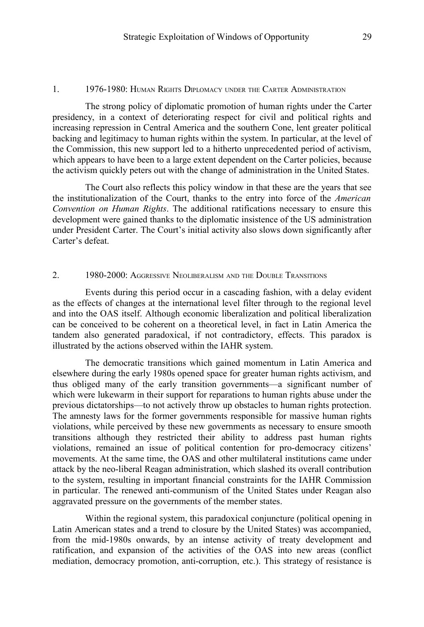#### 1. 1976-1980: HUMAN RIGHTS DIPLOMACY UNDER THE CARTER ADMINISTRATION

The strong policy of diplomatic promotion of human rights under the Carter presidency, in a context of deteriorating respect for civil and political rights and increasing repression in Central America and the southern Cone, lent greater political backing and legitimacy to human rights within the system. In particular, at the level of the Commission, this new support led to a hitherto unprecedented period of activism, which appears to have been to a large extent dependent on the Carter policies, because the activism quickly peters out with the change of administration in the United States.

The Court also reflects this policy window in that these are the years that see the institutionalization of the Court, thanks to the entry into force of the *American Convention on Human Rights*. The additional ratifications necessary to ensure this development were gained thanks to the diplomatic insistence of the US administration under President Carter. The Court's initial activity also slows down significantly after Carter's defeat.

#### 2. 1980-2000: AGGRESSIVE NEOLIBERALISM AND THE DOUBLE TRANSITIONS

Events during this period occur in a cascading fashion, with a delay evident as the effects of changes at the international level filter through to the regional level and into the OAS itself. Although economic liberalization and political liberalization can be conceived to be coherent on a theoretical level, in fact in Latin America the tandem also generated paradoxical, if not contradictory, effects. This paradox is illustrated by the actions observed within the IAHR system.

The democratic transitions which gained momentum in Latin America and elsewhere during the early 1980s opened space for greater human rights activism, and thus obliged many of the early transition governments—a significant number of which were lukewarm in their support for reparations to human rights abuse under the previous dictatorships—to not actively throw up obstacles to human rights protection. The amnesty laws for the former governments responsible for massive human rights violations, while perceived by these new governments as necessary to ensure smooth transitions although they restricted their ability to address past human rights violations, remained an issue of political contention for pro-democracy citizens' movements. At the same time, the OAS and other multilateral institutions came under attack by the neo-liberal Reagan administration, which slashed its overall contribution to the system, resulting in important financial constraints for the IAHR Commission in particular. The renewed anti-communism of the United States under Reagan also aggravated pressure on the governments of the member states.

Within the regional system, this paradoxical conjuncture (political opening in Latin American states and a trend to closure by the United States) was accompanied, from the mid-1980s onwards, by an intense activity of treaty development and ratification, and expansion of the activities of the OAS into new areas (conflict mediation, democracy promotion, anti-corruption, etc.). This strategy of resistance is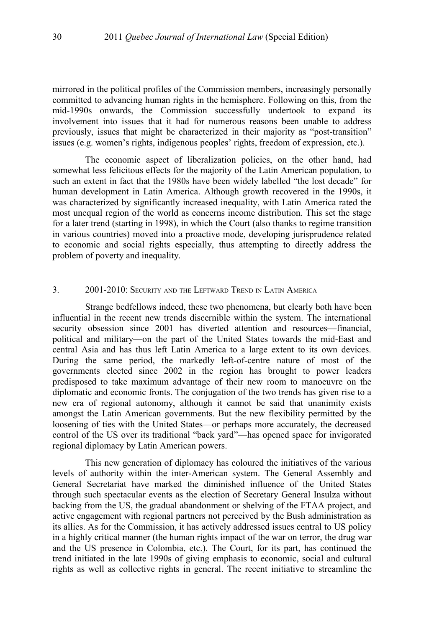mirrored in the political profiles of the Commission members, increasingly personally committed to advancing human rights in the hemisphere. Following on this, from the mid-1990s onwards, the Commission successfully undertook to expand its involvement into issues that it had for numerous reasons been unable to address previously, issues that might be characterized in their majority as "post-transition" issues (e.g. women's rights, indigenous peoples' rights, freedom of expression, etc.).

The economic aspect of liberalization policies, on the other hand, had somewhat less felicitous effects for the majority of the Latin American population, to such an extent in fact that the 1980s have been widely labelled "the lost decade" for human development in Latin America. Although growth recovered in the 1990s, it was characterized by significantly increased inequality, with Latin America rated the most unequal region of the world as concerns income distribution. This set the stage for a later trend (starting in 1998), in which the Court (also thanks to regime transition in various countries) moved into a proactive mode, developing jurisprudence related to economic and social rights especially, thus attempting to directly address the problem of poverty and inequality.

#### 3. 2001-2010: SECURITY AND THE LEFTWARD TREND IN LATIN AMERICA

Strange bedfellows indeed, these two phenomena, but clearly both have been influential in the recent new trends discernible within the system. The international security obsession since 2001 has diverted attention and resources—financial, political and military—on the part of the United States towards the mid-East and central Asia and has thus left Latin America to a large extent to its own devices. During the same period, the markedly left-of-centre nature of most of the governments elected since 2002 in the region has brought to power leaders predisposed to take maximum advantage of their new room to manoeuvre on the diplomatic and economic fronts. The conjugation of the two trends has given rise to a new era of regional autonomy, although it cannot be said that unanimity exists amongst the Latin American governments. But the new flexibility permitted by the loosening of ties with the United States—or perhaps more accurately, the decreased control of the US over its traditional "back yard"—has opened space for invigorated regional diplomacy by Latin American powers.

This new generation of diplomacy has coloured the initiatives of the various levels of authority within the inter-American system. The General Assembly and General Secretariat have marked the diminished influence of the United States through such spectacular events as the election of Secretary General Insulza without backing from the US, the gradual abandonment or shelving of the FTAA project, and active engagement with regional partners not perceived by the Bush administration as its allies. As for the Commission, it has actively addressed issues central to US policy in a highly critical manner (the human rights impact of the war on terror, the drug war and the US presence in Colombia, etc.). The Court, for its part, has continued the trend initiated in the late 1990s of giving emphasis to economic, social and cultural rights as well as collective rights in general. The recent initiative to streamline the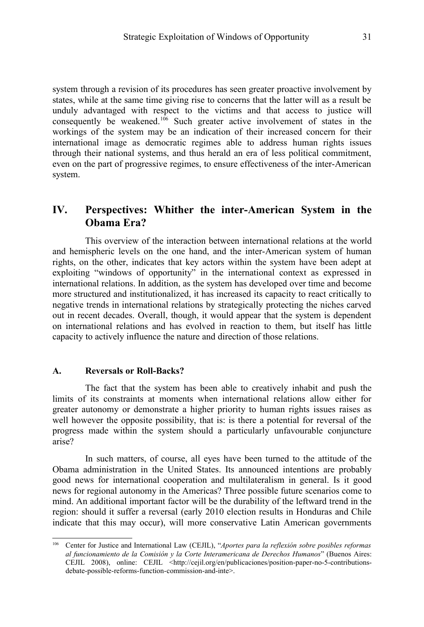system through a revision of its procedures has seen greater proactive involvement by states, while at the same time giving rise to concerns that the latter will as a result be unduly advantaged with respect to the victims and that access to justice will consequently be weakened.<sup>[106](#page-24-0)</sup> Such greater active involvement of states in the workings of the system may be an indication of their increased concern for their international image as democratic regimes able to address human rights issues through their national systems, and thus herald an era of less political commitment, even on the part of progressive regimes, to ensure effectiveness of the inter-American system.

# **IV. Perspectives: Whither the inter-American System in the Obama Era?**

This overview of the interaction between international relations at the world and hemispheric levels on the one hand, and the inter-American system of human rights, on the other, indicates that key actors within the system have been adept at exploiting "windows of opportunity" in the international context as expressed in international relations. In addition, as the system has developed over time and become more structured and institutionalized, it has increased its capacity to react critically to negative trends in international relations by strategically protecting the niches carved out in recent decades. Overall, though, it would appear that the system is dependent on international relations and has evolved in reaction to them, but itself has little capacity to actively influence the nature and direction of those relations.

#### **A. Reversals or Roll-Backs?**

The fact that the system has been able to creatively inhabit and push the limits of its constraints at moments when international relations allow either for greater autonomy or demonstrate a higher priority to human rights issues raises as well however the opposite possibility, that is: is there a potential for reversal of the progress made within the system should a particularly unfavourable conjuncture arise?

In such matters, of course, all eyes have been turned to the attitude of the Obama administration in the United States. Its announced intentions are probably good news for international cooperation and multilateralism in general. Is it good news for regional autonomy in the Americas? Three possible future scenarios come to mind. An additional important factor will be the durability of the leftward trend in the region: should it suffer a reversal (early 2010 election results in Honduras and Chile indicate that this may occur), will more conservative Latin American governments

<span id="page-24-0"></span><sup>106</sup> Center for Justice and International Law (CEJIL), "*Aportes para la reflexión sobre posibles reformas al funcionamiento de la Comisión y la Corte Interamericana de Derechos Humanos*" (Buenos Aires: CEJIL 2008), online: CEJIL <http://cejil.org/en/publicaciones/position-paper-no-5-contributionsdebate-possible-reforms-function-commission-and-inte>.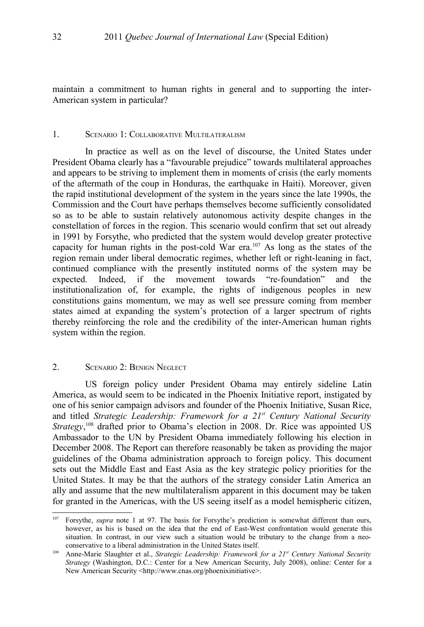maintain a commitment to human rights in general and to supporting the inter-American system in particular?

#### 1. SCENARIO 1: COLLABORATIVE MULTILATERALISM

In practice as well as on the level of discourse, the United States under President Obama clearly has a "favourable prejudice" towards multilateral approaches and appears to be striving to implement them in moments of crisis (the early moments of the aftermath of the coup in Honduras, the earthquake in Haiti). Moreover, given the rapid institutional development of the system in the years since the late 1990s, the Commission and the Court have perhaps themselves become sufficiently consolidated so as to be able to sustain relatively autonomous activity despite changes in the constellation of forces in the region. This scenario would confirm that set out already in 1991 by Forsythe, who predicted that the system would develop greater protective capacity for human rights in the post-cold War era.[107](#page-25-0) As long as the states of the region remain under liberal democratic regimes, whether left or right-leaning in fact, continued compliance with the presently instituted norms of the system may be expected. Indeed, if the movement towards "re-foundation" and the institutionalization of, for example, the rights of indigenous peoples in new constitutions gains momentum, we may as well see pressure coming from member states aimed at expanding the system's protection of a larger spectrum of rights thereby reinforcing the role and the credibility of the inter-American human rights system within the region.

#### 2. SCENARIO 2: BENIGN NEGLECT

US foreign policy under President Obama may entirely sideline Latin America, as would seem to be indicated in the Phoenix Initiative report, instigated by one of his senior campaign advisors and founder of the Phoenix Initiative, Susan Rice, and titled *Strategic Leadership: Framework for a 21st Century National Security Strategy*, [108](#page-25-1) drafted prior to Obama's election in 2008. Dr. Rice was appointed US Ambassador to the UN by President Obama immediately following his election in December 2008. The Report can therefore reasonably be taken as providing the major guidelines of the Obama administration approach to foreign policy. This document sets out the Middle East and East Asia as the key strategic policy priorities for the United States. It may be that the authors of the strategy consider Latin America an ally and assume that the new multilateralism apparent in this document may be taken for granted in the Americas, with the US seeing itself as a model hemispheric citizen,

<span id="page-25-0"></span>Forsythe, *supra* note [1](#page-2-0) at 97. The basis for Forsythe's prediction is somewhat different than ours, however, as his is based on the idea that the end of East-West confrontation would generate this situation. In contrast, in our view such a situation would be tributary to the change from a neoconservative to a liberal administration in the United States itself.

<span id="page-25-1"></span><sup>108</sup> Anne-Marie Slaughter et al., *Strategic Leadership: Framework for a 21st Century National Security Strategy* (Washington, D.C.: Center for a New American Security, July 2008), online: Center for a New American Security <http://www.cnas.org/phoenixinitiative>.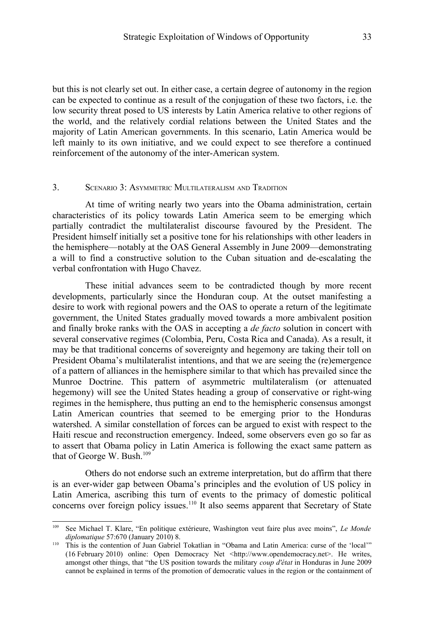but this is not clearly set out. In either case, a certain degree of autonomy in the region can be expected to continue as a result of the conjugation of these two factors, i.e. the low security threat posed to US interests by Latin America relative to other regions of the world, and the relatively cordial relations between the United States and the majority of Latin American governments. In this scenario, Latin America would be left mainly to its own initiative, and we could expect to see therefore a continued reinforcement of the autonomy of the inter-American system.

#### 3. SCENARIO 3: ASYMMETRIC MULTILATERALISM AND TRADITION

At time of writing nearly two years into the Obama administration, certain characteristics of its policy towards Latin America seem to be emerging which partially contradict the multilateralist discourse favoured by the President. The President himself initially set a positive tone for his relationships with other leaders in the hemisphere—notably at the OAS General Assembly in June 2009—demonstrating a will to find a constructive solution to the Cuban situation and de-escalating the verbal confrontation with Hugo Chavez.

These initial advances seem to be contradicted though by more recent developments, particularly since the Honduran coup. At the outset manifesting a desire to work with regional powers and the OAS to operate a return of the legitimate government, the United States gradually moved towards a more ambivalent position and finally broke ranks with the OAS in accepting a *de facto* solution in concert with several conservative regimes (Colombia, Peru, Costa Rica and Canada). As a result, it may be that traditional concerns of sovereignty and hegemony are taking their toll on President Obama's multilateralist intentions, and that we are seeing the (re)emergence of a pattern of alliances in the hemisphere similar to that which has prevailed since the Munroe Doctrine. This pattern of asymmetric multilateralism (or attenuated hegemony) will see the United States heading a group of conservative or right-wing regimes in the hemisphere, thus putting an end to the hemispheric consensus amongst Latin American countries that seemed to be emerging prior to the Honduras watershed. A similar constellation of forces can be argued to exist with respect to the Haiti rescue and reconstruction emergency. Indeed, some observers even go so far as to assert that Obama policy in Latin America is following the exact same pattern as that of George W. Bush.<sup>[109](#page-26-0)</sup>

Others do not endorse such an extreme interpretation, but do affirm that there is an ever-wider gap between Obama's principles and the evolution of US policy in Latin America, ascribing this turn of events to the primacy of domestic political concerns over foreign policy issues.<sup>[110](#page-26-1)</sup> It also seems apparent that Secretary of State

<span id="page-26-0"></span><sup>109</sup> See Michael T. Klare, "En politique extérieure, Washington veut faire plus avec moins", *Le Monde diplomatique* 57:670 (January 2010) 8.

<span id="page-26-1"></span><sup>&</sup>lt;sup>110</sup> This is the contention of Juan Gabriel Tokatlian in "Obama and Latin America: curse of the 'local'" (16 February 2010) online: Open Democracy Net <http://www.opendemocracy.net>. He writes, amongst other things, that "the US position towards the military *coup d'état* in Honduras in June 2009 cannot be explained in terms of the promotion of democratic values in the region or the containment of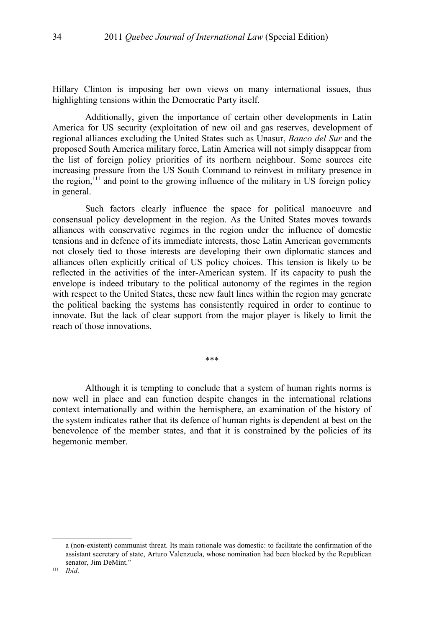Hillary Clinton is imposing her own views on many international issues, thus highlighting tensions within the Democratic Party itself.

Additionally, given the importance of certain other developments in Latin America for US security (exploitation of new oil and gas reserves, development of regional alliances excluding the United States such as Unasur, *Banco del Sur* and the proposed South America military force, Latin America will not simply disappear from the list of foreign policy priorities of its northern neighbour. Some sources cite increasing pressure from the US South Command to reinvest in military presence in the region, $^{111}$  $^{111}$  $^{111}$  and point to the growing influence of the military in US foreign policy in general.

Such factors clearly influence the space for political manoeuvre and consensual policy development in the region. As the United States moves towards alliances with conservative regimes in the region under the influence of domestic tensions and in defence of its immediate interests, those Latin American governments not closely tied to those interests are developing their own diplomatic stances and alliances often explicitly critical of US policy choices. This tension is likely to be reflected in the activities of the inter-American system. If its capacity to push the envelope is indeed tributary to the political autonomy of the regimes in the region with respect to the United States, these new fault lines within the region may generate the political backing the systems has consistently required in order to continue to innovate. But the lack of clear support from the major player is likely to limit the reach of those innovations.

\*\*\*

Although it is tempting to conclude that a system of human rights norms is now well in place and can function despite changes in the international relations context internationally and within the hemisphere, an examination of the history of the system indicates rather that its defence of human rights is dependent at best on the benevolence of the member states, and that it is constrained by the policies of its hegemonic member.

<span id="page-27-0"></span>a (non-existent) communist threat. Its main rationale was domestic: to facilitate the confirmation of the assistant secretary of state, Arturo Valenzuela, whose nomination had been blocked by the Republican senator, Jim DeMint."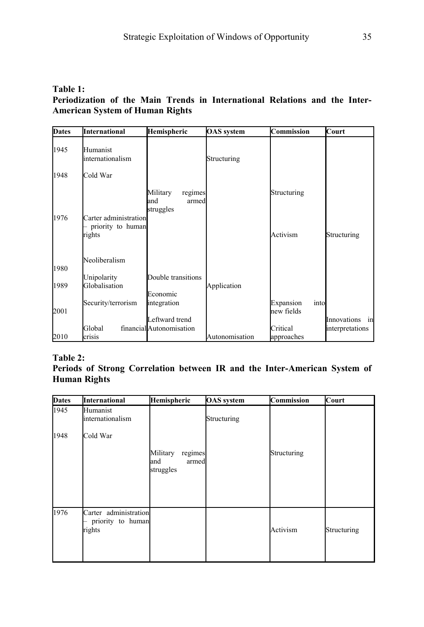## **Table 1: Periodization of the Main Trends in International Relations and the Inter-American System of Human Rights**

| <b>Dates</b> | International                                        | Hemispheric                                      | <b>OAS</b> system | Commission                      | Court             |
|--------------|------------------------------------------------------|--------------------------------------------------|-------------------|---------------------------------|-------------------|
| 1945         | Humanist<br>linternationalism                        |                                                  | Structuring       |                                 |                   |
| 1948         | Cold War                                             |                                                  |                   |                                 |                   |
| 1976         | Carter administration<br>priority to human<br>rights | Military<br>regimes<br>and<br>armed<br>struggles |                   | Structuring<br>Activism         | Structuring       |
| 1980         | Neoliberalism<br>Unipolarity                         | Double transitions                               |                   |                                 |                   |
| 1989         | Globalisation                                        |                                                  | Application       |                                 |                   |
| 2001         | Security/terrorism                                   | Economic<br>integration<br>Leftward trend        |                   | Expansion<br>into<br>new fields | Innovations<br>in |
| 2010         | Global<br>crisis                                     | financialAutonomisation                          | Autonomisation    | Critical<br>approaches          | interpretations   |

## **Table 2:**

## **Periods of Strong Correlation between IR and the Inter-American System of Human Rights**

| <b>Dates</b> | International                                        | Hemispheric                                      | <b>OAS</b> system | Commission  | Court       |
|--------------|------------------------------------------------------|--------------------------------------------------|-------------------|-------------|-------------|
| 1945         | Humanist<br>internationalism                         |                                                  | Structuring       |             |             |
| 1948         | Cold War                                             | Military<br>regimes<br>and<br>armed<br>struggles |                   | Structuring |             |
| 1976         | Carter administration<br>priority to human<br>rights |                                                  |                   | Activism    | Structuring |